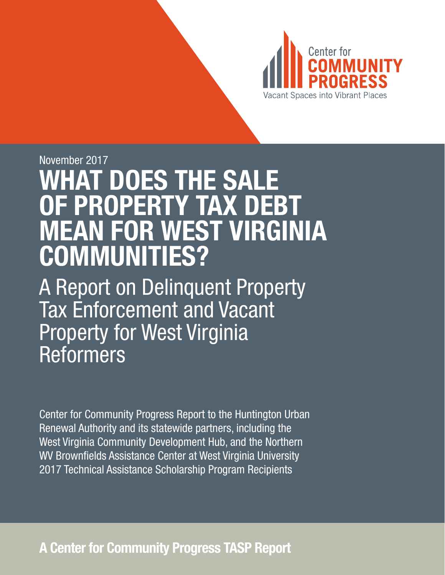

# November 2017 WHAT DOES THE SALE OF PROPERTY TAX DEBT MEAN FOR WEST VIRGINIA COMMUNITIES?

A Report on Delinquent Property Tax Enforcement and Vacant Property for West Virginia Reformers

Center for Community Progress Report to the Huntington Urban Renewal Authority and its statewide partners, including the West Virginia Community Development Hub, and the Northern WV Brownfields Assistance Center at West Virginia University 2017 Technical Assistance Scholarship Program Recipients

A Center for Community Progress TASP Report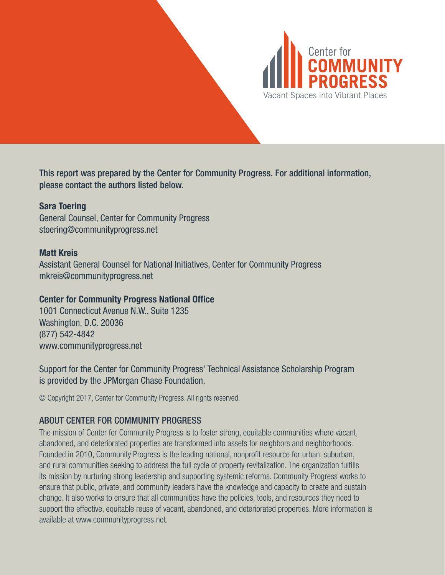

This report was prepared by the Center for Community Progress. For additional information, please contact the authors listed below.

### Sara Toering

General Counsel, Center for Community Progress stoering@communityprogress.net

### Matt Kreis

Assistant General Counsel for National Initiatives, Center for Community Progress mkreis@communityprogress.net

### Center for Community Progress National Office

1001 Connecticut Avenue N.W., Suite 1235 Washington, D.C. 20036 (877) 542-4842 www.communityprogress.net

Support for the Center for Community Progress' Technical Assistance Scholarship Program is provided by the JPMorgan Chase Foundation.

© Copyright 2017, Center for Community Progress. All rights reserved.

### ABOUT CENTER FOR COMMUNITY PROGRESS

The mission of Center for Community Progress is to foster strong, equitable communities where vacant, abandoned, and deteriorated properties are transformed into assets for neighbors and neighborhoods. Founded in 2010, Community Progress is the leading national, nonprofit resource for urban, suburban, and rural communities seeking to address the full cycle of property revitalization. The organization fulfills its mission by nurturing strong leadership and supporting systemic reforms. Community Progress works to ensure that public, private, and community leaders have the knowledge and capacity to create and sustain change. It also works to ensure that all communities have the policies, tools, and resources they need to support the effective, equitable reuse of vacant, abandoned, and deteriorated properties. More information is available at www.communityprogress.net.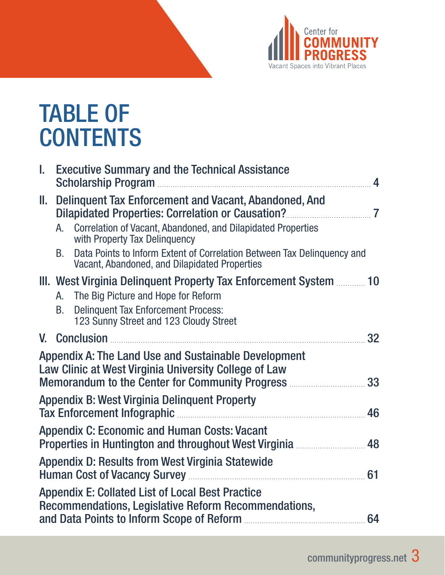

# TABLE OF **CONTENTS**

| I.  | <b>Executive Summary and the Technical Assistance</b>                                                                                                                                                               | $\overline{\mathbf{A}}$ |
|-----|---------------------------------------------------------------------------------------------------------------------------------------------------------------------------------------------------------------------|-------------------------|
| II. | Delinguent Tax Enforcement and Vacant, Abandoned, And                                                                                                                                                               |                         |
|     | Correlation of Vacant, Abandoned, and Dilapidated Properties<br>A.<br>with Property Tax Delinquency                                                                                                                 |                         |
|     | Data Points to Inform Extent of Correlation Between Tax Delinguency and<br>B.<br>Vacant, Abandoned, and Dilapidated Properties                                                                                      |                         |
|     | III. West Virginia Delinquent Property Tax Enforcement System  10<br>The Big Picture and Hope for Reform<br>A.<br><b>Delinquent Tax Enforcement Process:</b><br><b>B.</b><br>123 Sunny Street and 123 Cloudy Street |                         |
|     |                                                                                                                                                                                                                     | 32                      |
|     | Appendix A: The Land Use and Sustainable Development<br>Law Clinic at West Virginia University College of Law<br>Memorandum to the Center for Community Progress <b>Multiples</b> 33                                |                         |
|     | <b>Appendix B: West Virginia Delinquent Property</b>                                                                                                                                                                | 46                      |
|     | <b>Appendix C: Economic and Human Costs: Vacant</b><br>Properties in Huntington and throughout West Virginia  48                                                                                                    |                         |
|     | Appendix D: Results from West Virginia Statewide                                                                                                                                                                    | 61                      |
|     | <b>Appendix E: Collated List of Local Best Practice</b><br>Recommendations, Legislative Reform Recommendations,                                                                                                     |                         |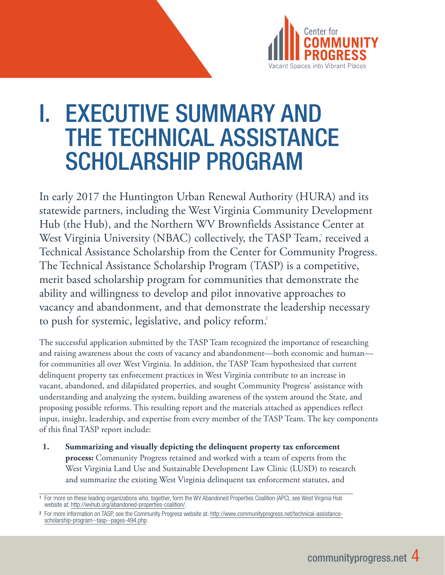

# I. EXECUTIVE SUMMARY AND THE TECHNICAL ASSISTANCE SCHOLARSHIP PROGRAM

In early 2017 the Huntington Urban Renewal Authority (HURA) and its statewide partners, including the West Virginia Community Development Hub (the Hub), and the Northern WV Brownfields Assistance Center at West Virginia University (NBAC) collectively, the TASP Team,' received a Technical Assistance Scholarship from the Center for Community Progress. The Technical Assistance Scholarship Program (TASP) is a competitive, merit based scholarship program for communities that demonstrate the ability and willingness to develop and pilot innovative approaches to vacancy and abandonment, and that demonstrate the leadership necessary to push for systemic, legislative, and policy reform.<sup>2</sup>

The successful application submitted by the TASP Team recognized the importance of researching and raising awareness about the costs of vacancy and abandonment—both economic and human for communities all over West Virginia. In addition, the TASP Team hypothesized that current delinquent property tax enforcement practices in West Virginia contribute to an increase in vacant, abandoned, and dilapidated properties, and sought Community Progress' assistance with understanding and analyzing the system, building awareness of the system around the State, and proposing possible reforms. This resulting report and the materials attached as appendices reflect input, insight, leadership, and expertise from every member of the TASP Team. The key components of this final TASP report include:

**1. Summarizing and visually depicting the delinquent property tax enforcement process:** Community Progress retained and worked with a team of experts from the West Virginia Land Use and Sustainable Development Law Clinic (LUSD) to research and summarize the existing West Virginia delinquent tax enforcement statutes, and

<sup>&</sup>lt;sup>1</sup> For more on these leading organizations who, together, form the WV Abandoned Properties Coalition (APC), see West Virginia Hub website at: http://wvhub.org/abandoned-properties-coalition/.

<sup>2</sup> For more information on TASP, see the Community Progress website at: http://www.communityprogress.net/technical-assistancescholarship-program--tasp--pages-494.php.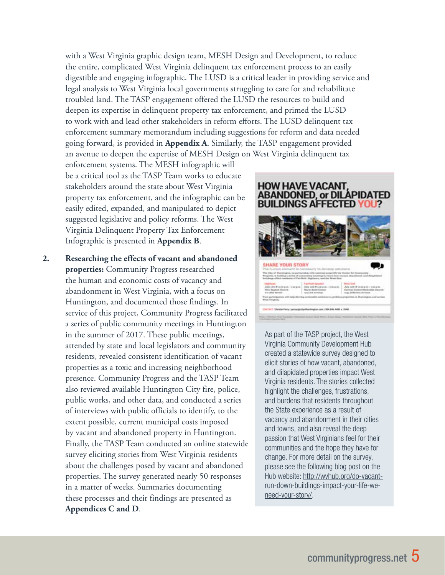with a West Virginia graphic design team, MESH Design and Development, to reduce the entire, complicated West Virginia delinquent tax enforcement process to an easily digestible and engaging infographic. The LUSD is a critical leader in providing service and legal analysis to West Virginia local governments struggling to care for and rehabilitate troubled land. The TASP engagement offered the LUSD the resources to build and deepen its expertise in delinquent property tax enforcement, and primed the LUSD to work with and lead other stakeholders in reform efforts. The LUSD delinquent tax enforcement summary memorandum including suggestions for reform and data needed going forward, is provided in **Appendix A**. Similarly, the TASP engagement provided an avenue to deepen the expertise of MESH Design on West Virginia delinquent tax

enforcement systems. The MESH infographic will be a critical tool as the TASP Team works to educate stakeholders around the state about West Virginia property tax enforcement, and the infographic can be easily edited, expanded, and manipulated to depict suggested legislative and policy reforms. The West Virginia Delinquent Property Tax Enforcement Infographic is presented in **Appendix B**.

**2. Researching the effects of vacant and abandoned properties:** Community Progress researched the human and economic costs of vacancy and abandonment in West Virginia, with a focus on Huntington, and documented those findings. In service of this project, Community Progress facilitated a series of public community meetings in Huntington in the summer of 2017. These public meetings, attended by state and local legislators and community residents, revealed consistent identification of vacant properties as a toxic and increasing neighborhood presence. Community Progress and the TASP Team also reviewed available Huntington City fire, police, public works, and other data, and conducted a series of interviews with public officials to identify, to the extent possible, current municipal costs imposed by vacant and abandoned property in Huntington. Finally, the TASP Team conducted an online statewide survey eliciting stories from West Virginia residents about the challenges posed by vacant and abandoned properties. The survey generated nearly 50 responses in a matter of weeks. Summaries documenting these processes and their findings are presented as **Appendices C and D**.

### **HOW HAVE VACANT, ABANDONED, or DILAPIDATED BUILDINGS AFFECTED YOU?**



As part of the TASP project, the West Virginia Community Development Hub created a statewide survey designed to elicit stories of how vacant, abandoned, and dilapidated properties impact West Virginia residents. The stories collected highlight the challenges, frustrations, and burdens that residents throughout the State experience as a result of vacancy and abandonment in their cities and towns, and also reveal the deep passion that West Virginians feel for their communities and the hope they have for change. For more detail on the survey, please see the following blog post on the Hub website: http://wvhub.org/do-vacantrun-down-buildings-impact-your-life-weneed-your-story/.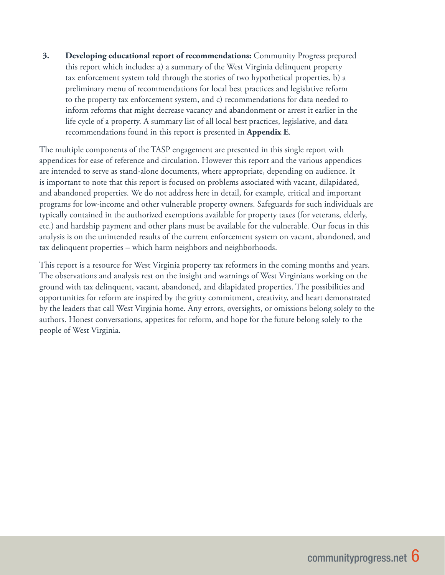**3. Developing educational report of recommendations:** Community Progress prepared this report which includes: a) a summary of the West Virginia delinquent property tax enforcement system told through the stories of two hypothetical properties, b) a preliminary menu of recommendations for local best practices and legislative reform to the property tax enforcement system, and c) recommendations for data needed to inform reforms that might decrease vacancy and abandonment or arrest it earlier in the life cycle of a property. A summary list of all local best practices, legislative, and data recommendations found in this report is presented in **Appendix E**.

The multiple components of the TASP engagement are presented in this single report with appendices for ease of reference and circulation. However this report and the various appendices are intended to serve as stand-alone documents, where appropriate, depending on audience. It is important to note that this report is focused on problems associated with vacant, dilapidated, and abandoned properties. We do not address here in detail, for example, critical and important programs for low-income and other vulnerable property owners. Safeguards for such individuals are typically contained in the authorized exemptions available for property taxes (for veterans, elderly, etc.) and hardship payment and other plans must be available for the vulnerable. Our focus in this analysis is on the unintended results of the current enforcement system on vacant, abandoned, and tax delinquent properties – which harm neighbors and neighborhoods.

This report is a resource for West Virginia property tax reformers in the coming months and years. The observations and analysis rest on the insight and warnings of West Virginians working on the ground with tax delinquent, vacant, abandoned, and dilapidated properties. The possibilities and opportunities for reform are inspired by the gritty commitment, creativity, and heart demonstrated by the leaders that call West Virginia home. Any errors, oversights, or omissions belong solely to the authors. Honest conversations, appetites for reform, and hope for the future belong solely to the people of West Virginia.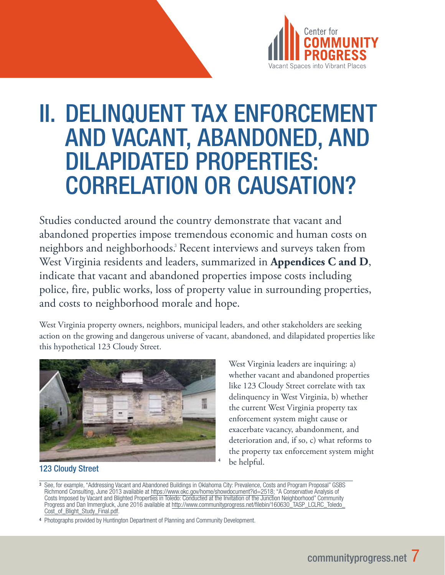

# II. DELINQUENT TAX ENFORCEMENT AND VACANT, ABANDONED, AND DILAPIDATED PROPERTIES: CORRELATION OR CAUSATION?

Studies conducted around the country demonstrate that vacant and abandoned properties impose tremendous economic and human costs on neighbors and neighborhoods.<sup>3</sup> Recent interviews and surveys taken from West Virginia residents and leaders, summarized in **Appendices C and D**, indicate that vacant and abandoned properties impose costs including police, fire, public works, loss of property value in surrounding properties, and costs to neighborhood morale and hope.

West Virginia property owners, neighbors, municipal leaders, and other stakeholders are seeking action on the growing and dangerous universe of vacant, abandoned, and dilapidated properties like this hypothetical 123 Cloudy Street.



West Virginia leaders are inquiring: a) whether vacant and abandoned properties like 123 Cloudy Street correlate with tax delinquency in West Virginia, b) whether the current West Virginia property tax enforcement system might cause or exacerbate vacancy, abandonment, and deterioration and, if so, c) what reforms to the property tax enforcement system might be helpful.

### 123 Cloudy Street

<sup>3</sup> See, for example, "Addressing Vacant and Abandoned Buildings in Oklahoma City: Prevalence, Costs and Program Proposal" GSBS Richmond Consulting, June 2013 available at https://www.okc.gov/home/showdocument?id=2518; "A Conservative Analysis of Costs Imposed by Vacant and Blighted Properties in Toledo: Conducted at the Invitation of the Junction Neighborhood" Community Progress and Dan Immergluck, June 2016 available at http://www.communityprogress.net/filebin/160630\_TASP\_LCLRC\_Toledo\_ Cost\_of\_Blight\_Study\_Final.pdf.

<sup>4</sup> Photographs provided by Huntington Department of Planning and Community Development.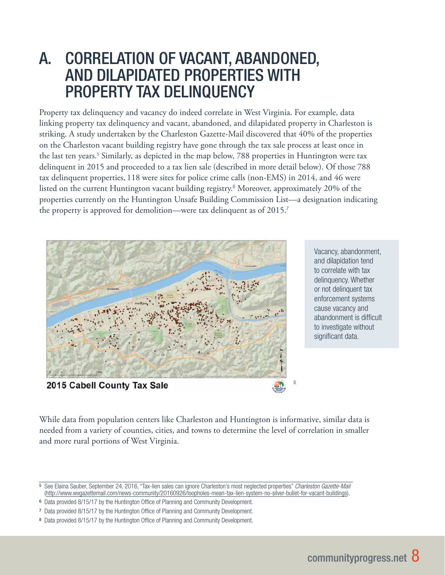# A. CORRELATION OF VACANT, ABANDONED, AND DILAPIDATED PROPERTIES WITH PROPERTY TAX DELINQUENCY

Property tax delinquency and vacancy do indeed correlate in West Virginia. For example, data linking property tax delinquency and vacant, abandoned, and dilapidated property in Charleston is striking. A study undertaken by the Charleston Gazette-Mail discovered that 40% of the properties on the Charleston vacant building registry have gone through the tax sale process at least once in the last ten years.<sup>5</sup> Similarly, as depicted in the map below, 788 properties in Huntington were tax delinquent in 2015 and proceeded to a tax lien sale (described in more detail below). Of those 788 tax delinquent properties, 118 were sites for police crime calls (non-EMS) in 2014, and 46 were listed on the current Huntington vacant building registry.<sup>6</sup> Moreover, approximately 20% of the properties currently on the Huntington Unsafe Building Commission List—a designation indicating the property is approved for demolition—were tax delinquent as of 2015.<sup>7</sup>



Vacancy, abandonment, and dilapidation tend to correlate with tax delinquency. Whether or not delinquent tax enforcement systems cause vacancy and abandonment is difficult to investigate without significant data.

While data from population centers like Charleston and Huntington is informative, similar data is needed from a variety of counties, cities, and towns to determine the level of correlation in smaller and more rural portions of West Virginia.

<sup>5</sup> See Elaina Sauber, September 24, 2016, "Tax-lien sales can ignore Charleston's most neglected properties" *Charleston Gazette-Mail* (http://www.wvgazettemail.com/news-community/20160926/loopholes-mean-tax-lien-system-no-silver-bullet-for-vacant-buildings).

<sup>6</sup> Data provided 8/15/17 by the Huntington Office of Planning and Community Development.

<sup>7</sup> Data provided 8/15/17 by the Huntington Office of Planning and Community Development.

<sup>8</sup> Data provided 8/15/17 by the Huntington Office of Planning and Community Development.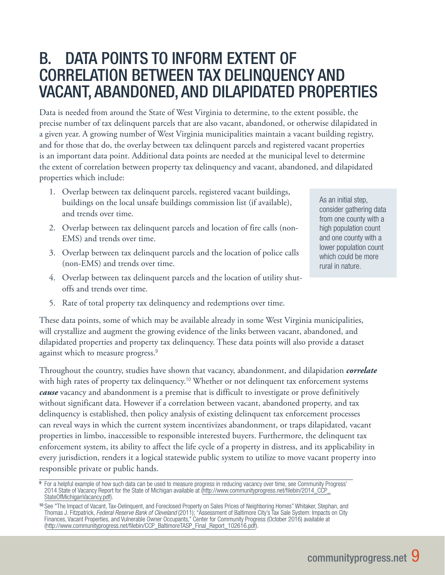# B. DATA POINTS TO INFORM EXTENT OF CORRELATION BETWEEN TAX DELINQUENCY AND VACANT, ABANDONED, AND DILAPIDATED PROPERTIES

Data is needed from around the State of West Virginia to determine, to the extent possible, the precise number of tax delinquent parcels that are also vacant, abandoned, or otherwise dilapidated in a given year. A growing number of West Virginia municipalities maintain a vacant building registry, and for those that do, the overlay between tax delinquent parcels and registered vacant properties is an important data point. Additional data points are needed at the municipal level to determine the extent of correlation between property tax delinquency and vacant, abandoned, and dilapidated properties which include:

- 1. Overlap between tax delinquent parcels, registered vacant buildings, buildings on the local unsafe buildings commission list (if available), and trends over time.
- 2. Overlap between tax delinquent parcels and location of fire calls (non-EMS) and trends over time.
- 3. Overlap between tax delinquent parcels and the location of police calls (non-EMS) and trends over time.
- 4. Overlap between tax delinquent parcels and the location of utility shutoffs and trends over time.

As an initial step, consider gathering data from one county with a high population count and one county with a lower population count which could be more rural in nature.

5. Rate of total property tax delinquency and redemptions over time.

These data points, some of which may be available already in some West Virginia municipalities, will crystallize and augment the growing evidence of the links between vacant, abandoned, and dilapidated properties and property tax delinquency. These data points will also provide a dataset against which to measure progress.<sup>9</sup>

Throughout the country, studies have shown that vacancy, abandonment, and dilapidation *correlate* with high rates of property tax delinquency.<sup>10</sup> Whether or not delinquent tax enforcement systems *cause* vacancy and abandonment is a premise that is difficult to investigate or prove definitively without significant data. However if a correlation between vacant, abandoned property, and tax delinquency is established, then policy analysis of existing delinquent tax enforcement processes can reveal ways in which the current system incentivizes abandonment, or traps dilapidated, vacant properties in limbo, inaccessible to responsible interested buyers. Furthermore, the delinquent tax enforcement system, its ability to affect the life cycle of a property in distress, and its applicability in every jurisdiction, renders it a logical statewide public system to utilize to move vacant property into responsible private or public hands.

<sup>9</sup> For a helpful example of how such data can be used to measure progress in reducing vacancy over time, see Community Progress' 2014 State of Vacancy Report for the State of Michigan available at (http://www.communityprogress.net/filebin/2014\_CCP\_ StateOfMichiganVacancy.pdf).

<sup>10</sup> See "The Impact of Vacant, Tax-Delinquent, and Foreclosed Property on Sales Prices of Neighboring Homes" Whitaker, Stephan, and Thomas J. Fitzpatrick, *Federal Reserve Bank of Cleveland* (2011); "Assessment of Baltimore City's Tax Sale System: Impacts on City Finances, Vacant Properties, and Vulnerable Owner Occupants," Center for Community Progress (October 2016) available at (http://www.communityprogress.net/filebin/CCP\_BaltimoreTASP\_Final\_Report\_102616.pdf).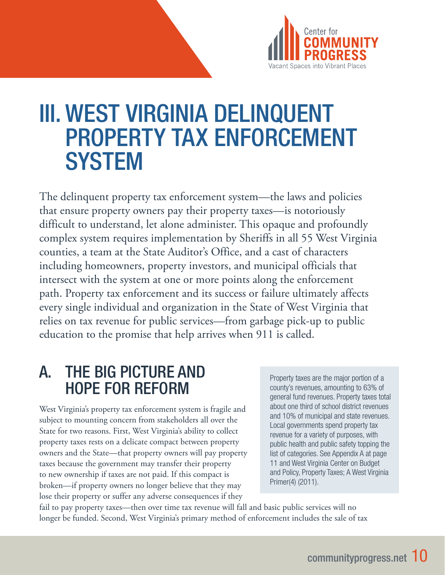

# III. WEST VIRGINIA DELINQUENT PROPERTY TAX ENFORCEMENT **SYSTEM**

The delinquent property tax enforcement system—the laws and policies that ensure property owners pay their property taxes—is notoriously difficult to understand, let alone administer. This opaque and profoundly complex system requires implementation by Sheriffs in all 55 West Virginia counties, a team at the State Auditor's Office, and a cast of characters including homeowners, property investors, and municipal officials that intersect with the system at one or more points along the enforcement path. Property tax enforcement and its success or failure ultimately affects every single individual and organization in the State of West Virginia that relies on tax revenue for public services—from garbage pick-up to public education to the promise that help arrives when 911 is called.

# A. THE BIG PICTURE AND HOPE FOR REFORM

West Virginia's property tax enforcement system is fragile and subject to mounting concern from stakeholders all over the State for two reasons. First, West Virginia's ability to collect property taxes rests on a delicate compact between property owners and the State—that property owners will pay property taxes because the government may transfer their property to new ownership if taxes are not paid. If this compact is broken—if property owners no longer believe that they may lose their property or suffer any adverse consequences if they

Property taxes are the major portion of a county's revenues, amounting to 63% of general fund revenues. Property taxes total about one third of school district revenues and 10% of municipal and state revenues. Local governments spend property tax revenue for a variety of purposes, with public health and public safety topping the list of categories. See Appendix A at page 11 and West Virginia Center on Budget and Policy, Property Taxes; A West Virginia Primer(4) (2011).

fail to pay property taxes—then over time tax revenue will fall and basic public services will no longer be funded. Second, West Virginia's primary method of enforcement includes the sale of tax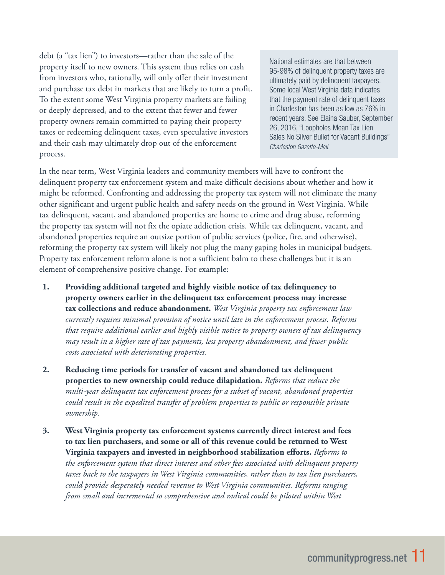debt (a "tax lien") to investors—rather than the sale of the property itself to new owners. This system thus relies on cash from investors who, rationally, will only offer their investment and purchase tax debt in markets that are likely to turn a profit. To the extent some West Virginia property markets are failing or deeply depressed, and to the extent that fewer and fewer property owners remain committed to paying their property taxes or redeeming delinquent taxes, even speculative investors and their cash may ultimately drop out of the enforcement process.

National estimates are that between 95-98% of delinquent property taxes are ultimately paid by delinquent taxpayers. Some local West Virginia data indicates that the payment rate of delinquent taxes in Charleston has been as low as 76% in recent years. See Elaina Sauber, September 26, 2016, "Loopholes Mean Tax Lien Sales No Silver Bullet for Vacant Buildings" *Charleston Gazette-Mail.*

In the near term, West Virginia leaders and community members will have to confront the delinquent property tax enforcement system and make difficult decisions about whether and how it might be reformed. Confronting and addressing the property tax system will not eliminate the many other significant and urgent public health and safety needs on the ground in West Virginia. While tax delinquent, vacant, and abandoned properties are home to crime and drug abuse, reforming the property tax system will not fix the opiate addiction crisis. While tax delinquent, vacant, and abandoned properties require an outsize portion of public services (police, fire, and otherwise), reforming the property tax system will likely not plug the many gaping holes in municipal budgets. Property tax enforcement reform alone is not a sufficient balm to these challenges but it is an element of comprehensive positive change. For example:

- **1. Providing additional targeted and highly visible notice of tax delinquency to property owners earlier in the delinquent tax enforcement process may increase tax collections and reduce abandonment.** *West Virginia property tax enforcement law currently requires minimal provision of notice until late in the enforcement process. Reforms that require additional earlier and highly visible notice to property owners of tax delinquency may result in a higher rate of tax payments, less property abandonment, and fewer public costs associated with deteriorating properties.*
- **2. Reducing time periods for transfer of vacant and abandoned tax delinquent properties to new ownership could reduce dilapidation.** *Reforms that reduce the multi-year delinquent tax enforcement process for a subset of vacant, abandoned properties could result in the expedited transfer of problem properties to public or responsible private ownership.*
- **3. West Virginia property tax enforcement systems currently direct interest and fees to tax lien purchasers, and some or all of this revenue could be returned to West Virginia taxpayers and invested in neighborhood stabilization efforts.** *Reforms to the enforcement system that direct interest and other fees associated with delinquent property taxes back to the taxpayers in West Virginia communities, rather than to tax lien purchasers, could provide desperately needed revenue to West Virginia communities. Reforms ranging from small and incremental to comprehensive and radical could be piloted within West*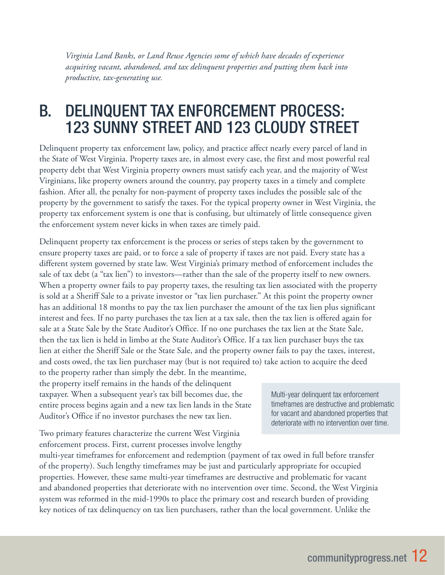*Virginia Land Banks, or Land Reuse Agencies some of which have decades of experience acquiring vacant, abandoned, and tax delinquent properties and putting them back into productive, tax-generating use.*

# B. DELINQUENT TAX ENFORCEMENT PROCESS: 123 SUNNY STREET AND 123 CLOUDY STREET

Delinquent property tax enforcement law, policy, and practice affect nearly every parcel of land in the State of West Virginia. Property taxes are, in almost every case, the first and most powerful real property debt that West Virginia property owners must satisfy each year, and the majority of West Virginians, like property owners around the country, pay property taxes in a timely and complete fashion. After all, the penalty for non-payment of property taxes includes the possible sale of the property by the government to satisfy the taxes. For the typical property owner in West Virginia, the property tax enforcement system is one that is confusing, but ultimately of little consequence given the enforcement system never kicks in when taxes are timely paid.

Delinquent property tax enforcement is the process or series of steps taken by the government to ensure property taxes are paid, or to force a sale of property if taxes are not paid. Every state has a different system governed by state law. West Virginia's primary method of enforcement includes the sale of tax debt (a "tax lien") to investors—rather than the sale of the property itself to new owners. When a property owner fails to pay property taxes, the resulting tax lien associated with the property is sold at a Sheriff Sale to a private investor or "tax lien purchaser." At this point the property owner has an additional 18 months to pay the tax lien purchaser the amount of the tax lien plus significant interest and fees. If no party purchases the tax lien at a tax sale, then the tax lien is offered again for sale at a State Sale by the State Auditor's Office. If no one purchases the tax lien at the State Sale, then the tax lien is held in limbo at the State Auditor's Office. If a tax lien purchaser buys the tax lien at either the Sheriff Sale or the State Sale, and the property owner fails to pay the taxes, interest, and costs owed, the tax lien purchaser may (but is not required to) take action to acquire the deed

to the property rather than simply the debt. In the meantime, the property itself remains in the hands of the delinquent taxpayer. When a subsequent year's tax bill becomes due, the entire process begins again and a new tax lien lands in the State Auditor's Office if no investor purchases the new tax lien.

Two primary features characterize the current West Virginia enforcement process. First, current processes involve lengthy

multi-year timeframes for enforcement and redemption (payment of tax owed in full before transfer of the property). Such lengthy timeframes may be just and particularly appropriate for occupied properties. However, these same multi-year timeframes are destructive and problematic for vacant and abandoned properties that deteriorate with no intervention over time. Second, the West Virginia system was reformed in the mid-1990s to place the primary cost and research burden of providing key notices of tax delinquency on tax lien purchasers, rather than the local government. Unlike the

Multi-year delinquent tax enforcement timeframes are destructive and problematic for vacant and abandoned properties that deteriorate with no intervention over time.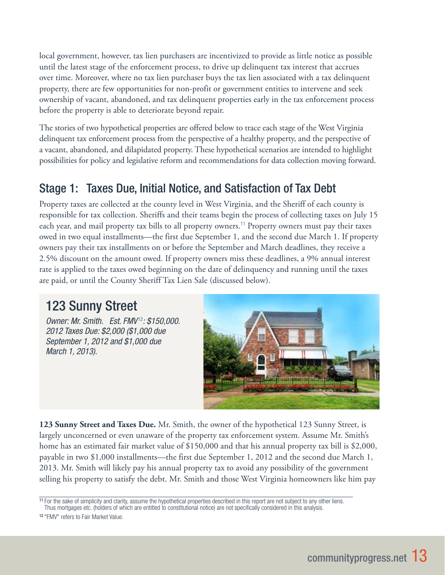local government, however, tax lien purchasers are incentivized to provide as little notice as possible until the latest stage of the enforcement process, to drive up delinquent tax interest that accrues over time. Moreover, where no tax lien purchaser buys the tax lien associated with a tax delinquent property, there are few opportunities for non-profit or government entities to intervene and seek ownership of vacant, abandoned, and tax delinquent properties early in the tax enforcement process before the property is able to deteriorate beyond repair.

The stories of two hypothetical properties are offered below to trace each stage of the West Virginia delinquent tax enforcement process from the perspective of a healthy property, and the perspective of a vacant, abandoned, and dilapidated property. These hypothetical scenarios are intended to highlight possibilities for policy and legislative reform and recommendations for data collection moving forward.

## Stage 1: Taxes Due, Initial Notice, and Satisfaction of Tax Debt

Property taxes are collected at the county level in West Virginia, and the Sheriff of each county is responsible for tax collection. Sheriffs and their teams begin the process of collecting taxes on July 15 each year, and mail property tax bills to all property owners.<sup>11</sup> Property owners must pay their taxes owed in two equal installments—the first due September 1, and the second due March 1. If property owners pay their tax installments on or before the September and March deadlines, they receive a 2.5% discount on the amount owed. If property owners miss these deadlines, a 9% annual interest rate is applied to the taxes owed beginning on the date of delinquency and running until the taxes are paid, or until the County Sheriff Tax Lien Sale (discussed below).

# 123 Sunny Street

*Owner: Mr. Smith. Est. FMV* <sup>12</sup>*: \$150,000. 2012 Taxes Due: \$2,000 (\$1,000 due September 1, 2012 and \$1,000 due March 1, 2013).* 



**123 Sunny Street and Taxes Due.** Mr. Smith, the owner of the hypothetical 123 Sunny Street, is largely unconcerned or even unaware of the property tax enforcement system. Assume Mr. Smith's home has an estimated fair market value of \$150,000 and that his annual property tax bill is \$2,000, payable in two \$1,000 installments—the first due September 1, 2012 and the second due March 1, 2013. Mr. Smith will likely pay his annual property tax to avoid any possibility of the government selling his property to satisfy the debt. Mr. Smith and those West Virginia homeowners like him pay

<sup>11</sup> For the sake of simplicity and clarity, assume the hypothetical properties described in this report are not subject to any other liens.

Thus mortgages etc. (holders of which are entitled to constitutional notice) are not specifically considered in this analysis.

<sup>12</sup> "FMV" refers to Fair Market Value.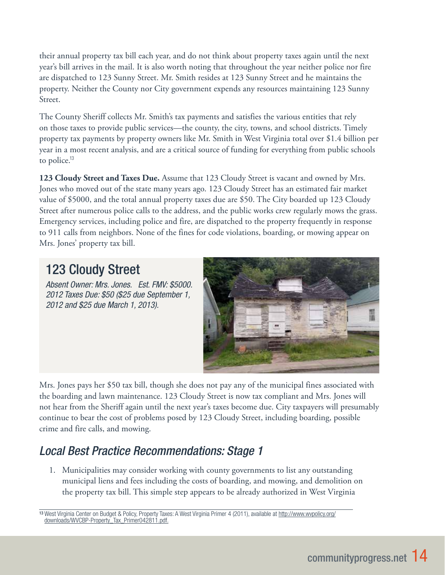their annual property tax bill each year, and do not think about property taxes again until the next year's bill arrives in the mail. It is also worth noting that throughout the year neither police nor fire are dispatched to 123 Sunny Street. Mr. Smith resides at 123 Sunny Street and he maintains the property. Neither the County nor City government expends any resources maintaining 123 Sunny Street.

The County Sheriff collects Mr. Smith's tax payments and satisfies the various entities that rely on those taxes to provide public services—the county, the city, towns, and school districts. Timely property tax payments by property owners like Mr. Smith in West Virginia total over \$1.4 billion per year in a most recent analysis, and are a critical source of funding for everything from public schools to police.<sup>13</sup>

**123 Cloudy Street and Taxes Due.** Assume that 123 Cloudy Street is vacant and owned by Mrs. Jones who moved out of the state many years ago. 123 Cloudy Street has an estimated fair market value of \$5000, and the total annual property taxes due are \$50. The City boarded up 123 Cloudy Street after numerous police calls to the address, and the public works crew regularly mows the grass. Emergency services, including police and fire, are dispatched to the property frequently in response to 911 calls from neighbors. None of the fines for code violations, boarding, or mowing appear on Mrs. Jones' property tax bill.

# 123 Cloudy Street

*Absent Owner: Mrs. Jones. Est. FMV: \$5000. 2012 Taxes Due: \$50 (\$25 due September 1, 2012 and \$25 due March 1, 2013).* 



Mrs. Jones pays her \$50 tax bill, though she does not pay any of the municipal fines associated with the boarding and lawn maintenance. 123 Cloudy Street is now tax compliant and Mrs. Jones will not hear from the Sheriff again until the next year's taxes become due. City taxpayers will presumably continue to bear the cost of problems posed by 123 Cloudy Street, including boarding, possible crime and fire calls, and mowing.

# *Local Best Practice Recommendations: Stage 1*

1. Municipalities may consider working with county governments to list any outstanding municipal liens and fees including the costs of boarding, and mowing, and demolition on the property tax bill. This simple step appears to be already authorized in West Virginia

<sup>13</sup> West Virginia Center on Budget & Policy, Property Taxes: A West Virginia Primer 4 (2011), available at http://www.wvpolicy.org/ downloads/WVCBP-Property\_Tax\_Primer042811.pdf.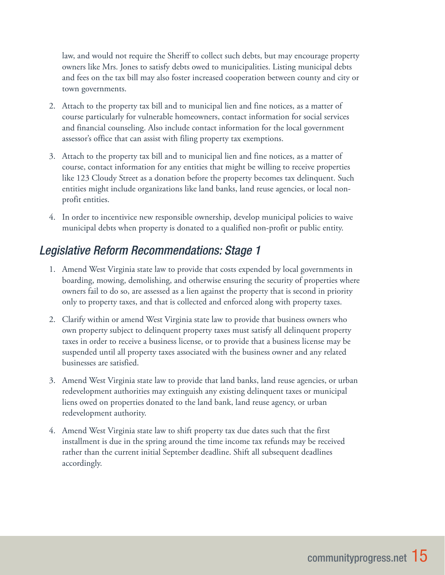law, and would not require the Sheriff to collect such debts, but may encourage property owners like Mrs. Jones to satisfy debts owed to municipalities. Listing municipal debts and fees on the tax bill may also foster increased cooperation between county and city or town governments.

- 2. Attach to the property tax bill and to municipal lien and fine notices, as a matter of course particularly for vulnerable homeowners, contact information for social services and financial counseling. Also include contact information for the local government assessor's office that can assist with filing property tax exemptions.
- 3. Attach to the property tax bill and to municipal lien and fine notices, as a matter of course, contact information for any entities that might be willing to receive properties like 123 Cloudy Street as a donation before the property becomes tax delinquent. Such entities might include organizations like land banks, land reuse agencies, or local nonprofit entities.
- 4. In order to incentivice new responsible ownership, develop municipal policies to waive municipal debts when property is donated to a qualified non-profit or public entity.

## *Legislative Reform Recommendations: Stage 1*

- 1. Amend West Virginia state law to provide that costs expended by local governments in boarding, mowing, demolishing, and otherwise ensuring the security of properties where owners fail to do so, are assessed as a lien against the property that is second in priority only to property taxes, and that is collected and enforced along with property taxes.
- 2. Clarify within or amend West Virginia state law to provide that business owners who own property subject to delinquent property taxes must satisfy all delinquent property taxes in order to receive a business license, or to provide that a business license may be suspended until all property taxes associated with the business owner and any related businesses are satisfied.
- 3. Amend West Virginia state law to provide that land banks, land reuse agencies, or urban redevelopment authorities may extinguish any existing delinquent taxes or municipal liens owed on properties donated to the land bank, land reuse agency, or urban redevelopment authority.
- 4. Amend West Virginia state law to shift property tax due dates such that the first installment is due in the spring around the time income tax refunds may be received rather than the current initial September deadline. Shift all subsequent deadlines accordingly.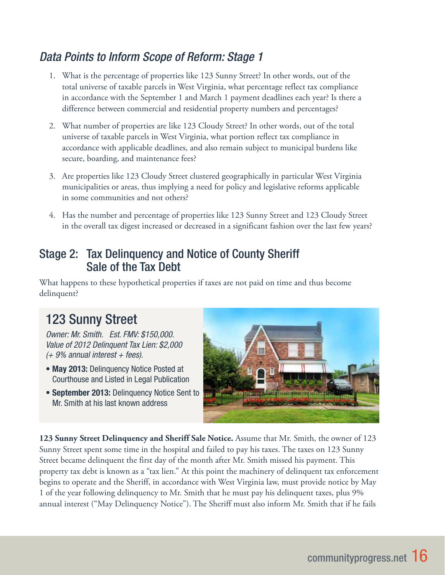## *Data Points to Inform Scope of Reform: Stage 1*

- 1. What is the percentage of properties like 123 Sunny Street? In other words, out of the total universe of taxable parcels in West Virginia, what percentage reflect tax compliance in accordance with the September 1 and March 1 payment deadlines each year? Is there a difference between commercial and residential property numbers and percentages?
- 2. What number of properties are like 123 Cloudy Street? In other words, out of the total universe of taxable parcels in West Virginia, what portion reflect tax compliance in accordance with applicable deadlines, and also remain subject to municipal burdens like secure, boarding, and maintenance fees?
- 3. Are properties like 123 Cloudy Street clustered geographically in particular West Virginia municipalities or areas, thus implying a need for policy and legislative reforms applicable in some communities and not others?
- 4. Has the number and percentage of properties like 123 Sunny Street and 123 Cloudy Street in the overall tax digest increased or decreased in a significant fashion over the last few years?

### Stage 2: Tax Delinquency and Notice of County Sheriff Sale of the Tax Debt

What happens to these hypothetical properties if taxes are not paid on time and thus become delinquent?

# 123 Sunny Street

*Owner: Mr. Smith. Est. FMV: \$150,000. Value of 2012 Delinquent Tax Lien: \$2,000 (+ 9% annual interest + fees).*

- May 2013: Delinquency Notice Posted at Courthouse and Listed in Legal Publication
- September 2013: Delinquency Notice Sent to Mr. Smith at his last known address



**123 Sunny Street Delinquency and Sheriff Sale Notice.** Assume that Mr. Smith, the owner of 123 Sunny Street spent some time in the hospital and failed to pay his taxes. The taxes on 123 Sunny Street became delinquent the first day of the month after Mr. Smith missed his payment. This property tax debt is known as a "tax lien." At this point the machinery of delinquent tax enforcement begins to operate and the Sheriff, in accordance with West Virginia law, must provide notice by May 1 of the year following delinquency to Mr. Smith that he must pay his delinquent taxes, plus 9% annual interest ("May Delinquency Notice"). The Sheriff must also inform Mr. Smith that if he fails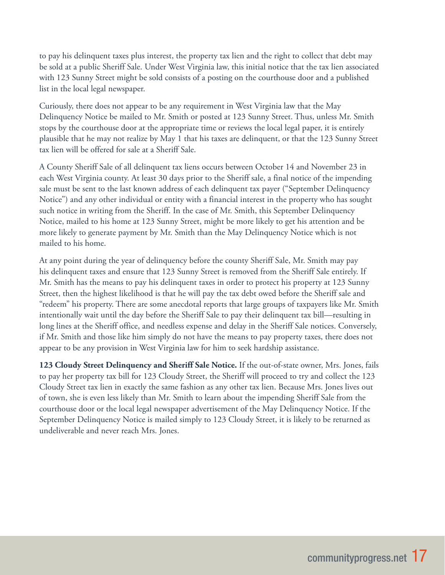to pay his delinquent taxes plus interest, the property tax lien and the right to collect that debt may be sold at a public Sheriff Sale. Under West Virginia law, this initial notice that the tax lien associated with 123 Sunny Street might be sold consists of a posting on the courthouse door and a published list in the local legal newspaper.

Curiously, there does not appear to be any requirement in West Virginia law that the May Delinquency Notice be mailed to Mr. Smith or posted at 123 Sunny Street. Thus, unless Mr. Smith stops by the courthouse door at the appropriate time or reviews the local legal paper, it is entirely plausible that he may not realize by May 1 that his taxes are delinquent, or that the 123 Sunny Street tax lien will be offered for sale at a Sheriff Sale.

A County Sheriff Sale of all delinquent tax liens occurs between October 14 and November 23 in each West Virginia county. At least 30 days prior to the Sheriff sale, a final notice of the impending sale must be sent to the last known address of each delinquent tax payer ("September Delinquency Notice") and any other individual or entity with a financial interest in the property who has sought such notice in writing from the Sheriff. In the case of Mr. Smith, this September Delinquency Notice, mailed to his home at 123 Sunny Street, might be more likely to get his attention and be more likely to generate payment by Mr. Smith than the May Delinquency Notice which is not mailed to his home.

At any point during the year of delinquency before the county Sheriff Sale, Mr. Smith may pay his delinquent taxes and ensure that 123 Sunny Street is removed from the Sheriff Sale entirely. If Mr. Smith has the means to pay his delinquent taxes in order to protect his property at 123 Sunny Street, then the highest likelihood is that he will pay the tax debt owed before the Sheriff sale and "redeem" his property. There are some anecdotal reports that large groups of taxpayers like Mr. Smith intentionally wait until the day before the Sheriff Sale to pay their delinquent tax bill—resulting in long lines at the Sheriff office, and needless expense and delay in the Sheriff Sale notices. Conversely, if Mr. Smith and those like him simply do not have the means to pay property taxes, there does not appear to be any provision in West Virginia law for him to seek hardship assistance.

**123 Cloudy Street Delinquency and Sheriff Sale Notice.** If the out-of-state owner, Mrs. Jones, fails to pay her property tax bill for 123 Cloudy Street, the Sheriff will proceed to try and collect the 123 Cloudy Street tax lien in exactly the same fashion as any other tax lien. Because Mrs. Jones lives out of town, she is even less likely than Mr. Smith to learn about the impending Sheriff Sale from the courthouse door or the local legal newspaper advertisement of the May Delinquency Notice. If the September Delinquency Notice is mailed simply to 123 Cloudy Street, it is likely to be returned as undeliverable and never reach Mrs. Jones.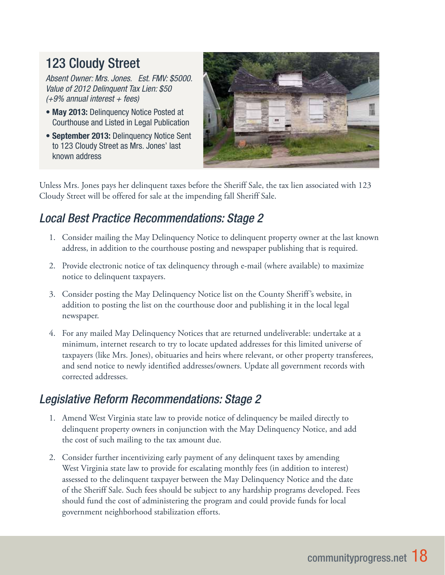# 123 Cloudy Street

*Absent Owner: Mrs. Jones. Est. FMV: \$5000. Value of 2012 Delinquent Tax Lien: \$50 (+9% annual interest + fees)*

- May 2013: Delinquency Notice Posted at Courthouse and Listed in Legal Publication
- September 2013: Delinquency Notice Sent to 123 Cloudy Street as Mrs. Jones' last known address



Unless Mrs. Jones pays her delinquent taxes before the Sheriff Sale, the tax lien associated with 123 Cloudy Street will be offered for sale at the impending fall Sheriff Sale.

# *Local Best Practice Recommendations: Stage 2*

- 1. Consider mailing the May Delinquency Notice to delinquent property owner at the last known address, in addition to the courthouse posting and newspaper publishing that is required.
- 2. Provide electronic notice of tax delinquency through e-mail (where available) to maximize notice to delinquent taxpayers.
- 3. Consider posting the May Delinquency Notice list on the County Sheriff's website, in addition to posting the list on the courthouse door and publishing it in the local legal newspaper.
- 4. For any mailed May Delinquency Notices that are returned undeliverable: undertake at a minimum, internet research to try to locate updated addresses for this limited universe of taxpayers (like Mrs. Jones), obituaries and heirs where relevant, or other property transferees, and send notice to newly identified addresses/owners. Update all government records with corrected addresses.

## *Legislative Reform Recommendations: Stage 2*

- 1. Amend West Virginia state law to provide notice of delinquency be mailed directly to delinquent property owners in conjunction with the May Delinquency Notice, and add the cost of such mailing to the tax amount due.
- 2. Consider further incentivizing early payment of any delinquent taxes by amending West Virginia state law to provide for escalating monthly fees (in addition to interest) assessed to the delinquent taxpayer between the May Delinquency Notice and the date of the Sheriff Sale. Such fees should be subject to any hardship programs developed. Fees should fund the cost of administering the program and could provide funds for local government neighborhood stabilization efforts.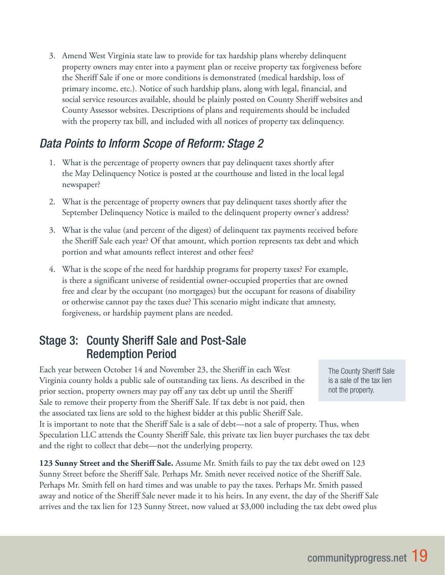3. Amend West Virginia state law to provide for tax hardship plans whereby delinquent property owners may enter into a payment plan or receive property tax forgiveness before the Sheriff Sale if one or more conditions is demonstrated (medical hardship, loss of primary income, etc.). Notice of such hardship plans, along with legal, financial, and social service resources available, should be plainly posted on County Sheriff websites and County Assessor websites. Descriptions of plans and requirements should be included with the property tax bill, and included with all notices of property tax delinquency.

## *Data Points to Inform Scope of Reform: Stage 2*

- 1. What is the percentage of property owners that pay delinquent taxes shortly after the May Delinquency Notice is posted at the courthouse and listed in the local legal newspaper?
- 2. What is the percentage of property owners that pay delinquent taxes shortly after the September Delinquency Notice is mailed to the delinquent property owner's address?
- 3. What is the value (and percent of the digest) of delinquent tax payments received before the Sheriff Sale each year? Of that amount, which portion represents tax debt and which portion and what amounts reflect interest and other fees?
- 4. What is the scope of the need for hardship programs for property taxes? For example, is there a significant universe of residential owner-occupied properties that are owned free and clear by the occupant (no mortgages) but the occupant for reasons of disability or otherwise cannot pay the taxes due? This scenario might indicate that amnesty, forgiveness, or hardship payment plans are needed.

### Stage 3: County Sheriff Sale and Post-Sale Redemption Period

Each year between October 14 and November 23, the Sheriff in each West Virginia county holds a public sale of outstanding tax liens. As described in the prior section, property owners may pay off any tax debt up until the Sheriff Sale to remove their property from the Sheriff Sale. If tax debt is not paid, then the associated tax liens are sold to the highest bidder at this public Sheriff Sale.

It is important to note that the Sheriff Sale is a sale of debt—not a sale of property. Thus, when Speculation LLC attends the County Sheriff Sale, this private tax lien buyer purchases the tax debt and the right to collect that debt—not the underlying property.

**123 Sunny Street and the Sheriff Sale.** Assume Mr. Smith fails to pay the tax debt owed on 123 Sunny Street before the Sheriff Sale. Perhaps Mr. Smith never received notice of the Sheriff Sale. Perhaps Mr. Smith fell on hard times and was unable to pay the taxes. Perhaps Mr. Smith passed away and notice of the Sheriff Sale never made it to his heirs. In any event, the day of the Sheriff Sale arrives and the tax lien for 123 Sunny Street, now valued at \$3,000 including the tax debt owed plus

The County Sheriff Sale is a sale of the tax lien not the property.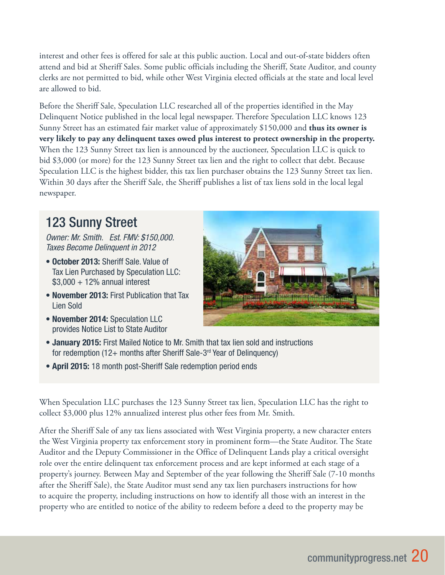interest and other fees is offered for sale at this public auction. Local and out-of-state bidders often attend and bid at Sheriff Sales. Some public officials including the Sheriff, State Auditor, and county clerks are not permitted to bid, while other West Virginia elected officials at the state and local level are allowed to bid.

Before the Sheriff Sale, Speculation LLC researched all of the properties identified in the May Delinquent Notice published in the local legal newspaper. Therefore Speculation LLC knows 123 Sunny Street has an estimated fair market value of approximately \$150,000 and **thus its owner is very likely to pay any delinquent taxes owed plus interest to protect ownership in the property.** When the 123 Sunny Street tax lien is announced by the auctioneer, Speculation LLC is quick to bid \$3,000 (or more) for the 123 Sunny Street tax lien and the right to collect that debt. Because Speculation LLC is the highest bidder, this tax lien purchaser obtains the 123 Sunny Street tax lien. Within 30 days after the Sheriff Sale, the Sheriff publishes a list of tax liens sold in the local legal newspaper.

# 123 Sunny Street

*Owner: Mr. Smith. Est. FMV: \$150,000. Taxes Become Delinquent in 2012*

- October 2013: Sheriff Sale. Value of Tax Lien Purchased by Speculation LLC:  $$3,000 + 12\%$  annual interest
- November 2013: First Publication that Tax Lien Sold
- November 2014: Speculation LLC provides Notice List to State Auditor



- January 2015: First Mailed Notice to Mr. Smith that tax lien sold and instructions for redemption (12+ months after Sheriff Sale-3rd Year of Delinquency)
- April 2015: 18 month post-Sheriff Sale redemption period ends

When Speculation LLC purchases the 123 Sunny Street tax lien, Speculation LLC has the right to collect \$3,000 plus 12% annualized interest plus other fees from Mr. Smith.

After the Sheriff Sale of any tax liens associated with West Virginia property, a new character enters the West Virginia property tax enforcement story in prominent form—the State Auditor. The State Auditor and the Deputy Commissioner in the Office of Delinquent Lands play a critical oversight role over the entire delinquent tax enforcement process and are kept informed at each stage of a property's journey. Between May and September of the year following the Sheriff Sale (7-10 months after the Sheriff Sale), the State Auditor must send any tax lien purchasers instructions for how to acquire the property, including instructions on how to identify all those with an interest in the property who are entitled to notice of the ability to redeem before a deed to the property may be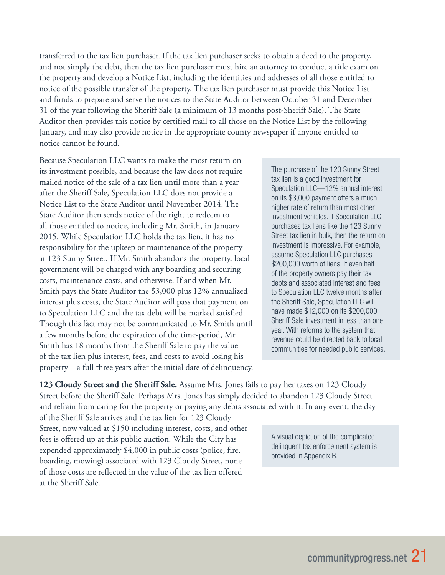transferred to the tax lien purchaser. If the tax lien purchaser seeks to obtain a deed to the property, and not simply the debt, then the tax lien purchaser must hire an attorney to conduct a title exam on the property and develop a Notice List, including the identities and addresses of all those entitled to notice of the possible transfer of the property. The tax lien purchaser must provide this Notice List and funds to prepare and serve the notices to the State Auditor between October 31 and December 31 of the year following the Sheriff Sale (a minimum of 13 months post-Sheriff Sale). The State Auditor then provides this notice by certified mail to all those on the Notice List by the following January, and may also provide notice in the appropriate county newspaper if anyone entitled to notice cannot be found.

Because Speculation LLC wants to make the most return on its investment possible, and because the law does not require mailed notice of the sale of a tax lien until more than a year after the Sheriff Sale, Speculation LLC does not provide a Notice List to the State Auditor until November 2014. The State Auditor then sends notice of the right to redeem to all those entitled to notice, including Mr. Smith, in January 2015. While Speculation LLC holds the tax lien, it has no responsibility for the upkeep or maintenance of the property at 123 Sunny Street. If Mr. Smith abandons the property, local government will be charged with any boarding and securing costs, maintenance costs, and otherwise. If and when Mr. Smith pays the State Auditor the \$3,000 plus 12% annualized interest plus costs, the State Auditor will pass that payment on to Speculation LLC and the tax debt will be marked satisfied. Though this fact may not be communicated to Mr. Smith until a few months before the expiration of the time-period, Mr. Smith has 18 months from the Sheriff Sale to pay the value of the tax lien plus interest, fees, and costs to avoid losing his property—a full three years after the initial date of delinquency.

The purchase of the 123 Sunny Street tax lien is a good investment for Speculation LLC—12% annual interest on its \$3,000 payment offers a much higher rate of return than most other investment vehicles. If Speculation LLC purchases tax liens like the 123 Sunny Street tax lien in bulk, then the return on investment is impressive. For example, assume Speculation LLC purchases \$200,000 worth of liens. If even half of the property owners pay their tax debts and associated interest and fees to Speculation LLC twelve months after the Sheriff Sale, Speculation LLC will have made \$12,000 on its \$200,000 Sheriff Sale investment in less than one year. With reforms to the system that revenue could be directed back to local communities for needed public services.

**123 Cloudy Street and the Sheriff Sale.** Assume Mrs. Jones fails to pay her taxes on 123 Cloudy Street before the Sheriff Sale. Perhaps Mrs. Jones has simply decided to abandon 123 Cloudy Street and refrain from caring for the property or paying any debts associated with it. In any event, the day

of the Sheriff Sale arrives and the tax lien for 123 Cloudy Street, now valued at \$150 including interest, costs, and other fees is offered up at this public auction. While the City has expended approximately \$4,000 in public costs (police, fire, boarding, mowing) associated with 123 Cloudy Street, none of those costs are reflected in the value of the tax lien offered at the Sheriff Sale.

A visual depiction of the complicated delinquent tax enforcement system is provided in Appendix B.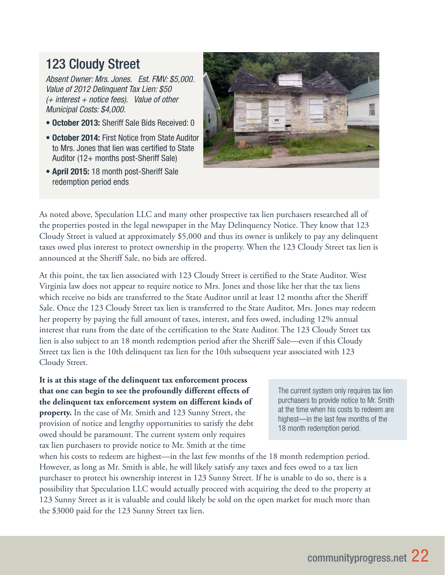# 123 Cloudy Street

*Absent Owner: Mrs. Jones. Est. FMV: \$5,000. Value of 2012 Delinquent Tax Lien: \$50 (+ interest + notice fees). Value of other Municipal Costs: \$4,000.* 

- October 2013: Sheriff Sale Bids Received: 0
- October 2014: First Notice from State Auditor to Mrs. Jones that lien was certified to State Auditor (12+ months post-Sheriff Sale)
- April 2015: 18 month post-Sheriff Sale redemption period ends



As noted above, Speculation LLC and many other prospective tax lien purchasers researched all of the properties posted in the legal newspaper in the May Delinquency Notice. They know that 123 Cloudy Street is valued at approximately \$5,000 and thus its owner is unlikely to pay any delinquent taxes owed plus interest to protect ownership in the property. When the 123 Cloudy Street tax lien is announced at the Sheriff Sale, no bids are offered.

At this point, the tax lien associated with 123 Cloudy Street is certified to the State Auditor. West Virginia law does not appear to require notice to Mrs. Jones and those like her that the tax liens which receive no bids are transferred to the State Auditor until at least 12 months after the Sheriff Sale. Once the 123 Cloudy Street tax lien is transferred to the State Auditor, Mrs. Jones may redeem her property by paying the full amount of taxes, interest, and fees owed, including 12% annual interest that runs from the date of the certification to the State Auditor. The 123 Cloudy Street tax lien is also subject to an 18 month redemption period after the Sheriff Sale—even if this Cloudy Street tax lien is the 10th delinquent tax lien for the 10th subsequent year associated with 123 Cloudy Street.

**It is at this stage of the delinquent tax enforcement process that one can begin to see the profoundly different effects of the delinquent tax enforcement system on different kinds of property.** In the case of Mr. Smith and 123 Sunny Street, the provision of notice and lengthy opportunities to satisfy the debt owed should be paramount. The current system only requires tax lien purchasers to provide notice to Mr. Smith at the time

The current system only requires tax lien purchasers to provide notice to Mr. Smith at the time when his costs to redeem are highest—in the last few months of the 18 month redemption period.

when his costs to redeem are highest—in the last few months of the 18 month redemption period. However, as long as Mr. Smith is able, he will likely satisfy any taxes and fees owed to a tax lien purchaser to protect his ownership interest in 123 Sunny Street. If he is unable to do so, there is a possibility that Speculation LLC would actually proceed with acquiring the deed to the property at 123 Sunny Street as it is valuable and could likely be sold on the open market for much more than the \$3000 paid for the 123 Sunny Street tax lien.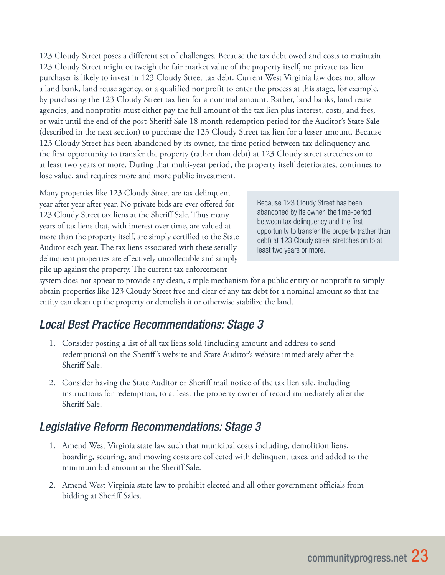123 Cloudy Street poses a different set of challenges. Because the tax debt owed and costs to maintain 123 Cloudy Street might outweigh the fair market value of the property itself, no private tax lien purchaser is likely to invest in 123 Cloudy Street tax debt. Current West Virginia law does not allow a land bank, land reuse agency, or a qualified nonprofit to enter the process at this stage, for example, by purchasing the 123 Cloudy Street tax lien for a nominal amount. Rather, land banks, land reuse agencies, and nonprofits must either pay the full amount of the tax lien plus interest, costs, and fees, or wait until the end of the post-Sheriff Sale 18 month redemption period for the Auditor's State Sale (described in the next section) to purchase the 123 Cloudy Street tax lien for a lesser amount. Because 123 Cloudy Street has been abandoned by its owner, the time period between tax delinquency and the first opportunity to transfer the property (rather than debt) at 123 Cloudy street stretches on to at least two years or more. During that multi-year period, the property itself deteriorates, continues to lose value, and requires more and more public investment.

Many properties like 123 Cloudy Street are tax delinquent year after year after year. No private bids are ever offered for 123 Cloudy Street tax liens at the Sheriff Sale. Thus many years of tax liens that, with interest over time, are valued at more than the property itself, are simply certified to the State Auditor each year. The tax liens associated with these serially delinquent properties are effectively uncollectible and simply pile up against the property. The current tax enforcement

Because 123 Cloudy Street has been abandoned by its owner, the time-period between tax delinquency and the first opportunity to transfer the property (rather than debt) at 123 Cloudy street stretches on to at least two years or more.

system does not appear to provide any clean, simple mechanism for a public entity or nonprofit to simply obtain properties like 123 Cloudy Street free and clear of any tax debt for a nominal amount so that the entity can clean up the property or demolish it or otherwise stabilize the land.

## *Local Best Practice Recommendations: Stage 3*

- 1. Consider posting a list of all tax liens sold (including amount and address to send redemptions) on the Sheriff's website and State Auditor's website immediately after the Sheriff Sale.
- 2. Consider having the State Auditor or Sheriff mail notice of the tax lien sale, including instructions for redemption, to at least the property owner of record immediately after the Sheriff Sale.

## *Legislative Reform Recommendations: Stage 3*

- 1. Amend West Virginia state law such that municipal costs including, demolition liens, boarding, securing, and mowing costs are collected with delinquent taxes, and added to the minimum bid amount at the Sheriff Sale.
- 2. Amend West Virginia state law to prohibit elected and all other government officials from bidding at Sheriff Sales.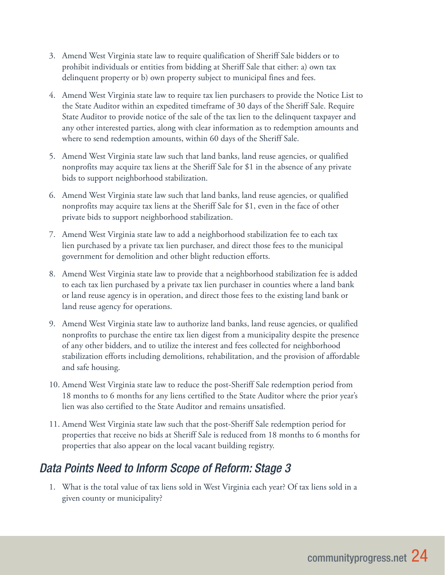- 3. Amend West Virginia state law to require qualification of Sheriff Sale bidders or to prohibit individuals or entities from bidding at Sheriff Sale that either: a) own tax delinquent property or b) own property subject to municipal fines and fees.
- 4. Amend West Virginia state law to require tax lien purchasers to provide the Notice List to the State Auditor within an expedited timeframe of 30 days of the Sheriff Sale. Require State Auditor to provide notice of the sale of the tax lien to the delinquent taxpayer and any other interested parties, along with clear information as to redemption amounts and where to send redemption amounts, within 60 days of the Sheriff Sale.
- 5. Amend West Virginia state law such that land banks, land reuse agencies, or qualified nonprofits may acquire tax liens at the Sheriff Sale for \$1 in the absence of any private bids to support neighborhood stabilization.
- 6. Amend West Virginia state law such that land banks, land reuse agencies, or qualified nonprofits may acquire tax liens at the Sheriff Sale for \$1, even in the face of other private bids to support neighborhood stabilization.
- 7. Amend West Virginia state law to add a neighborhood stabilization fee to each tax lien purchased by a private tax lien purchaser, and direct those fees to the municipal government for demolition and other blight reduction efforts.
- 8. Amend West Virginia state law to provide that a neighborhood stabilization fee is added to each tax lien purchased by a private tax lien purchaser in counties where a land bank or land reuse agency is in operation, and direct those fees to the existing land bank or land reuse agency for operations.
- 9. Amend West Virginia state law to authorize land banks, land reuse agencies, or qualified nonprofits to purchase the entire tax lien digest from a municipality despite the presence of any other bidders, and to utilize the interest and fees collected for neighborhood stabilization efforts including demolitions, rehabilitation, and the provision of affordable and safe housing.
- 10. Amend West Virginia state law to reduce the post-Sheriff Sale redemption period from 18 months to 6 months for any liens certified to the State Auditor where the prior year's lien was also certified to the State Auditor and remains unsatisfied.
- 11. Amend West Virginia state law such that the post-Sheriff Sale redemption period for properties that receive no bids at Sheriff Sale is reduced from 18 months to 6 months for properties that also appear on the local vacant building registry.

## *Data Points Need to Inform Scope of Reform: Stage 3*

1. What is the total value of tax liens sold in West Virginia each year? Of tax liens sold in a given county or municipality?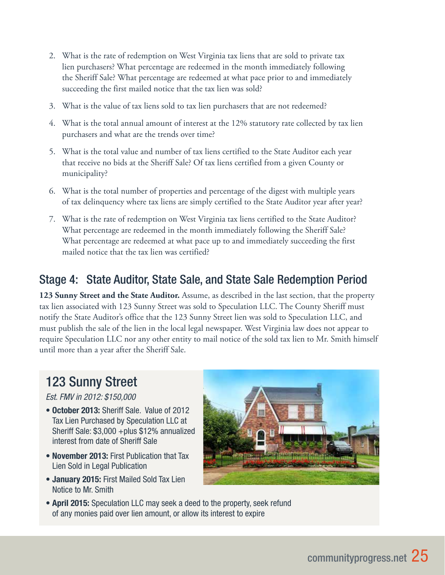- 2. What is the rate of redemption on West Virginia tax liens that are sold to private tax lien purchasers? What percentage are redeemed in the month immediately following the Sheriff Sale? What percentage are redeemed at what pace prior to and immediately succeeding the first mailed notice that the tax lien was sold?
- 3. What is the value of tax liens sold to tax lien purchasers that are not redeemed?
- 4. What is the total annual amount of interest at the 12% statutory rate collected by tax lien purchasers and what are the trends over time?
- 5. What is the total value and number of tax liens certified to the State Auditor each year that receive no bids at the Sheriff Sale? Of tax liens certified from a given County or municipality?
- 6. What is the total number of properties and percentage of the digest with multiple years of tax delinquency where tax liens are simply certified to the State Auditor year after year?
- 7. What is the rate of redemption on West Virginia tax liens certified to the State Auditor? What percentage are redeemed in the month immediately following the Sheriff Sale? What percentage are redeemed at what pace up to and immediately succeeding the first mailed notice that the tax lien was certified?

## Stage 4: State Auditor, State Sale, and State Sale Redemption Period

**123 Sunny Street and the State Auditor.** Assume, as described in the last section, that the property tax lien associated with 123 Sunny Street was sold to Speculation LLC. The County Sheriff must notify the State Auditor's office that the 123 Sunny Street lien was sold to Speculation LLC, and must publish the sale of the lien in the local legal newspaper. West Virginia law does not appear to require Speculation LLC nor any other entity to mail notice of the sold tax lien to Mr. Smith himself until more than a year after the Sheriff Sale.

# 123 Sunny Street

*Est. FMV in 2012: \$150,000*

- October 2013: Sheriff Sale. Value of 2012 Tax Lien Purchased by Speculation LLC at Sheriff Sale: \$3,000 +plus \$12% annualized interest from date of Sheriff Sale
- November 2013: First Publication that Tax Lien Sold in Legal Publication
- January 2015: First Mailed Sold Tax Lien Notice to Mr. Smith



• April 2015: Speculation LLC may seek a deed to the property, seek refund of any monies paid over lien amount, or allow its interest to expire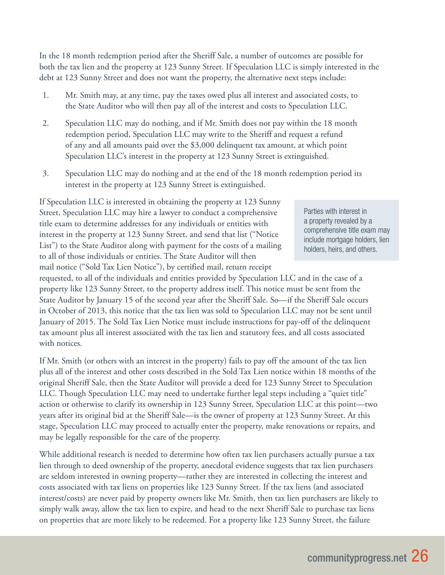In the 18 month redemption period after the Sheriff Sale, a number of outcomes are possible for both the tax lien and the property at 123 Sunny Street. If Speculation LLC is simply interested in the debt at 123 Sunny Street and does not want the property, the alternative next steps include:

- 1. Mr. Smith may, at any time, pay the taxes owed plus all interest and associated costs, to the State Auditor who will then pay all of the interest and costs to Speculation LLC.
- 2. Speculation LLC may do nothing, and if Mr. Smith does not pay within the 18 month redemption period, Speculation LLC may write to the Sheriff and request a refund of any and all amounts paid over the \$3,000 delinquent tax amount, at which point Speculation LLC's interest in the property at 123 Sunny Street is extinguished.
- 3. Speculation LLC may do nothing and at the end of the 18 month redemption period its interest in the property at 123 Sunny Street is extinguished.

If Speculation LLC is interested in obtaining the property at 123 Sunny Street, Speculation LLC may hire a lawyer to conduct a comprehensive title exam to determine addresses for any individuals or entities with interest in the property at 123 Sunny Street, and send that list ("Notice List") to the State Auditor along with payment for the costs of a mailing to all of those individuals or entities. The State Auditor will then mail notice ("Sold Tax Lien Notice"), by certified mail, return receipt

Parties with interest in a property revealed by a comprehensive title exam may include mortgage holders, lien holders, heirs, and others.

requested, to all of the individuals and entities provided by Speculation LLC and in the case of a property like 123 Sunny Street, to the property address itself. This notice must be sent from the State Auditor by January 15 of the second year after the Sheriff Sale. So—if the Sheriff Sale occurs in October of 2013, this notice that the tax lien was sold to Speculation LLC may not be sent until January of 2015. The Sold Tax Lien Notice must include instructions for pay-off of the delinquent tax amount plus all interest associated with the tax lien and statutory fees, and all costs associated with notices.

If Mr. Smith (or others with an interest in the property) fails to pay off the amount of the tax lien plus all of the interest and other costs described in the Sold Tax Lien notice within 18 months of the original Sheriff Sale, then the State Auditor will provide a deed for 123 Sunny Street to Speculation LLC. Though Speculation LLC may need to undertake further legal steps including a "quiet title" action or otherwise to clarify its ownership in 123 Sunny Street, Speculation LLC at this point—two years after its original bid at the Sheriff Sale—is the owner of property at 123 Sunny Street. At this stage, Speculation LLC may proceed to actually enter the property, make renovations or repairs, and may be legally responsible for the care of the property.

While additional research is needed to determine how often tax lien purchasers actually pursue a tax lien through to deed ownership of the property, anecdotal evidence suggests that tax lien purchasers are seldom interested in owning property—rather they are interested in collecting the interest and costs associated with tax liens on properties like 123 Sunny Street. If the tax liens (and associated interest/costs) are never paid by property owners like Mr. Smith, then tax lien purchasers are likely to simply walk away, allow the tax lien to expire, and head to the next Sheriff Sale to purchase tax liens on properties that are more likely to be redeemed. For a property like 123 Sunny Street, the failure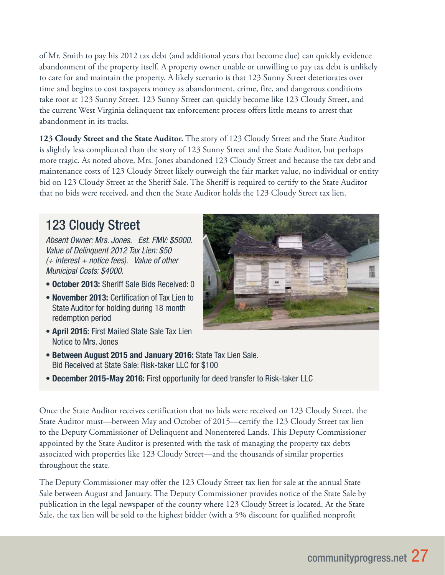of Mr. Smith to pay his 2012 tax debt (and additional years that become due) can quickly evidence abandonment of the property itself. A property owner unable or unwilling to pay tax debt is unlikely to care for and maintain the property. A likely scenario is that 123 Sunny Street deteriorates over time and begins to cost taxpayers money as abandonment, crime, fire, and dangerous conditions take root at 123 Sunny Street. 123 Sunny Street can quickly become like 123 Cloudy Street, and the current West Virginia delinquent tax enforcement process offers little means to arrest that abandonment in its tracks.

**123 Cloudy Street and the State Auditor.** The story of 123 Cloudy Street and the State Auditor is slightly less complicated than the story of 123 Sunny Street and the State Auditor, but perhaps more tragic. As noted above, Mrs. Jones abandoned 123 Cloudy Street and because the tax debt and maintenance costs of 123 Cloudy Street likely outweigh the fair market value, no individual or entity bid on 123 Cloudy Street at the Sheriff Sale. The Sheriff is required to certify to the State Auditor that no bids were received, and then the State Auditor holds the 123 Cloudy Street tax lien.

# 123 Cloudy Street

*Absent Owner: Mrs. Jones. Est. FMV: \$5000. Value of Delinquent 2012 Tax Lien: \$50 (+ interest + notice fees). Value of other Municipal Costs: \$4000.*

- October 2013: Sheriff Sale Bids Received: 0
- November 2013: Certification of Tax Lien to State Auditor for holding during 18 month redemption period
- April 2015: First Mailed State Sale Tax Lien Notice to Mrs. Jones
- Between August 2015 and January 2016: State Tax Lien Sale. Bid Received at State Sale: Risk-taker LLC for \$100
- December 2015-May 2016: First opportunity for deed transfer to Risk-taker LLC

Once the State Auditor receives certification that no bids were received on 123 Cloudy Street, the State Auditor must—between May and October of 2015—certify the 123 Cloudy Street tax lien to the Deputy Commissioner of Delinquent and Nonentered Lands. This Deputy Commissioner appointed by the State Auditor is presented with the task of managing the property tax debts associated with properties like 123 Cloudy Street—and the thousands of similar properties throughout the state.

The Deputy Commissioner may offer the 123 Cloudy Street tax lien for sale at the annual State Sale between August and January. The Deputy Commissioner provides notice of the State Sale by publication in the legal newspaper of the county where 123 Cloudy Street is located. At the State Sale, the tax lien will be sold to the highest bidder (with a 5% discount for qualified nonprofit

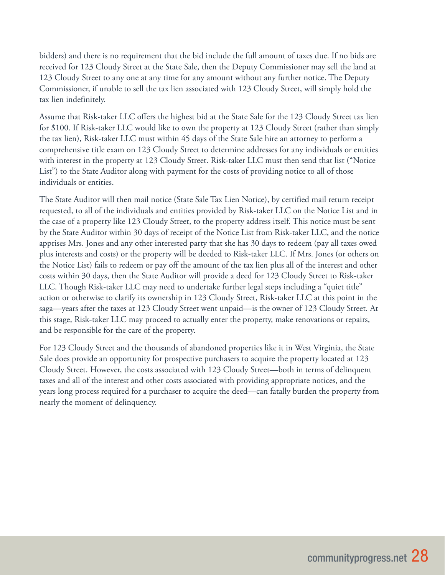bidders) and there is no requirement that the bid include the full amount of taxes due. If no bids are received for 123 Cloudy Street at the State Sale, then the Deputy Commissioner may sell the land at 123 Cloudy Street to any one at any time for any amount without any further notice. The Deputy Commissioner, if unable to sell the tax lien associated with 123 Cloudy Street, will simply hold the tax lien indefinitely.

Assume that Risk-taker LLC offers the highest bid at the State Sale for the 123 Cloudy Street tax lien for \$100. If Risk-taker LLC would like to own the property at 123 Cloudy Street (rather than simply the tax lien), Risk-taker LLC must within 45 days of the State Sale hire an attorney to perform a comprehensive title exam on 123 Cloudy Street to determine addresses for any individuals or entities with interest in the property at 123 Cloudy Street. Risk-taker LLC must then send that list ("Notice List") to the State Auditor along with payment for the costs of providing notice to all of those individuals or entities.

The State Auditor will then mail notice (State Sale Tax Lien Notice), by certified mail return receipt requested, to all of the individuals and entities provided by Risk-taker LLC on the Notice List and in the case of a property like 123 Cloudy Street, to the property address itself. This notice must be sent by the State Auditor within 30 days of receipt of the Notice List from Risk-taker LLC, and the notice apprises Mrs. Jones and any other interested party that she has 30 days to redeem (pay all taxes owed plus interests and costs) or the property will be deeded to Risk-taker LLC. If Mrs. Jones (or others on the Notice List) fails to redeem or pay off the amount of the tax lien plus all of the interest and other costs within 30 days, then the State Auditor will provide a deed for 123 Cloudy Street to Risk-taker LLC. Though Risk-taker LLC may need to undertake further legal steps including a "quiet title" action or otherwise to clarify its ownership in 123 Cloudy Street, Risk-taker LLC at this point in the saga—years after the taxes at 123 Cloudy Street went unpaid—is the owner of 123 Cloudy Street. At this stage, Risk-taker LLC may proceed to actually enter the property, make renovations or repairs, and be responsible for the care of the property.

For 123 Cloudy Street and the thousands of abandoned properties like it in West Virginia, the State Sale does provide an opportunity for prospective purchasers to acquire the property located at 123 Cloudy Street. However, the costs associated with 123 Cloudy Street—both in terms of delinquent taxes and all of the interest and other costs associated with providing appropriate notices, and the years long process required for a purchaser to acquire the deed—can fatally burden the property from nearly the moment of delinquency.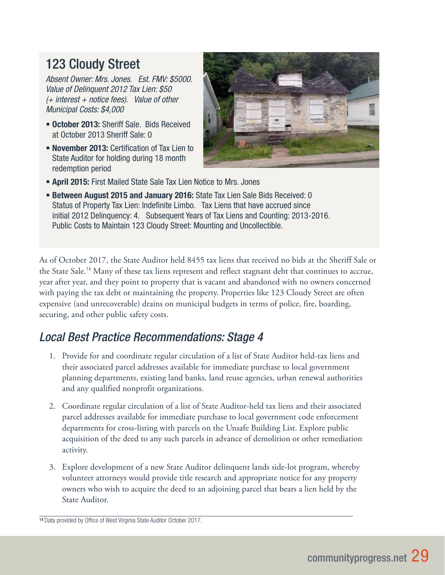# 123 Cloudy Street

*Absent Owner: Mrs. Jones. Est. FMV: \$5000. Value of Delinquent 2012 Tax Lien: \$50 (+ interest + notice fees). Value of other Municipal Costs: \$4,000*

- October 2013: Sheriff Sale. Bids Received at October 2013 Sheriff Sale: 0
- November 2013: Certification of Tax Lien to State Auditor for holding during 18 month redemption period



- April 2015: First Mailed State Sale Tax Lien Notice to Mrs. Jones
- Between August 2015 and January 2016: State Tax Lien Sale Bids Received: 0 Status of Property Tax Lien: Indefinite Limbo. Tax Liens that have accrued since initial 2012 Delinquency: 4. Subsequent Years of Tax Liens and Counting: 2013-2016. Public Costs to Maintain 123 Cloudy Street: Mounting and Uncollectible.

As of October 2017, the State Auditor held 8455 tax liens that received no bids at the Sheriff Sale or the State Sale.<sup>14</sup> Many of these tax liens represent and reflect stagnant debt that continues to accrue, year after year, and they point to property that is vacant and abandoned with no owners concerned with paying the tax debt or maintaining the property. Properties like 123 Cloudy Street are often expensive (and unrecoverable) drains on municipal budgets in terms of police, fire, boarding, securing, and other public safety costs.

## *Local Best Practice Recommendations: Stage 4*

- 1. Provide for and coordinate regular circulation of a list of State Auditor held-tax liens and their associated parcel addresses available for immediate purchase to local government planning departments, existing land banks, land reuse agencies, urban renewal authorities and any qualified nonprofit organizations.
- 2. Coordinate regular circulation of a list of State Auditor-held tax liens and their associated parcel addresses available for immediate purchase to local government code enforcement departments for cross-listing with parcels on the Unsafe Building List. Explore public acquisition of the deed to any such parcels in advance of demolition or other remediation activity.
- 3. Explore development of a new State Auditor delinquent lands side-lot program, whereby volunteer attorneys would provide title research and appropriate notice for any property owners who wish to acquire the deed to an adjoining parcel that bears a lien held by the State Auditor.

<sup>14</sup> Data provided by Office of West Virginia State Auditor October 2017.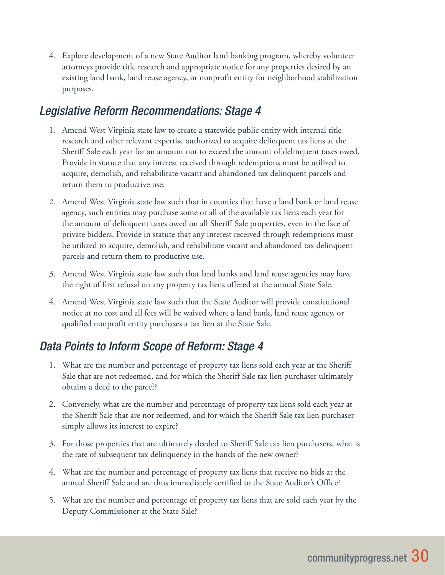4. Explore development of a new State Auditor land banking program, whereby volunteer attorneys provide title research and appropriate notice for any properties desired by an existing land bank, land reuse agency, or nonprofit entity for neighborhood stabilization purposes.

### *Legislative Reform Recommendations: Stage 4*

- 1. Amend West Virginia state law to create a statewide public entity with internal title research and other relevant expertise authorized to acquire delinquent tax liens at the Sheriff Sale each year for an amount not to exceed the amount of delinquent taxes owed. Provide in statute that any interest received through redemptions must be utilized to acquire, demolish, and rehabilitate vacant and abandoned tax delinquent parcels and return them to productive use.
- 2. Amend West Virginia state law such that in counties that have a land bank or land reuse agency, such entities may purchase some or all of the available tax liens each year for the amount of delinquent taxes owed on all Sheriff Sale properties, even in the face of private bidders. Provide in statute that any interest received through redemptions must be utilized to acquire, demolish, and rehabilitate vacant and abandoned tax delinquent parcels and return them to productive use.
- 3. Amend West Virginia state law such that land banks and land reuse agencies may have the right of first refusal on any property tax liens offered at the annual State Sale.
- 4. Amend West Virginia state law such that the State Auditor will provide constitutional notice at no cost and all fees will be waived where a land bank, land reuse agency, or qualified nonprofit entity purchases a tax lien at the State Sale.

## *Data Points to Inform Scope of Reform: Stage 4*

- 1. What are the number and percentage of property tax liens sold each year at the Sheriff Sale that are not redeemed, and for which the Sheriff Sale tax lien purchaser ultimately obtains a deed to the parcel?
- 2. Conversely, what are the number and percentage of property tax liens sold each year at the Sheriff Sale that are not redeemed, and for which the Sheriff Sale tax lien purchaser simply allows its interest to expire?
- 3. For those properties that are ultimately deeded to Sheriff Sale tax lien purchasers, what is the rate of subsequent tax delinquency in the hands of the new owner?
- 4. What are the number and percentage of property tax liens that receive no bids at the annual Sheriff Sale and are thus immediately certified to the State Auditor's Office?
- 5. What are the number and percentage of property tax liens that are sold each year by the Deputy Commissioner at the State Sale?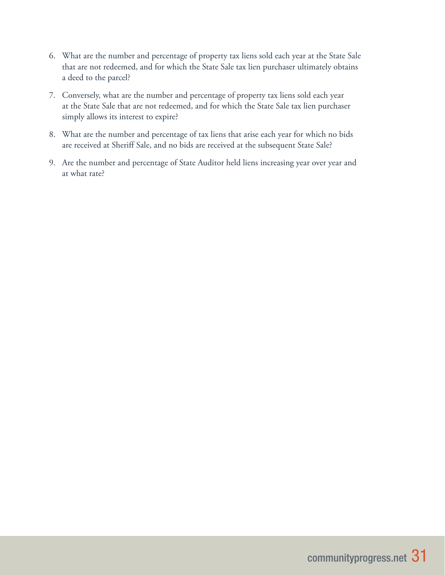- 6. What are the number and percentage of property tax liens sold each year at the State Sale that are not redeemed, and for which the State Sale tax lien purchaser ultimately obtains a deed to the parcel?
- 7. Conversely, what are the number and percentage of property tax liens sold each year at the State Sale that are not redeemed, and for which the State Sale tax lien purchaser simply allows its interest to expire?
- 8. What are the number and percentage of tax liens that arise each year for which no bids are received at Sheriff Sale, and no bids are received at the subsequent State Sale?
- 9. Are the number and percentage of State Auditor held liens increasing year over year and at what rate?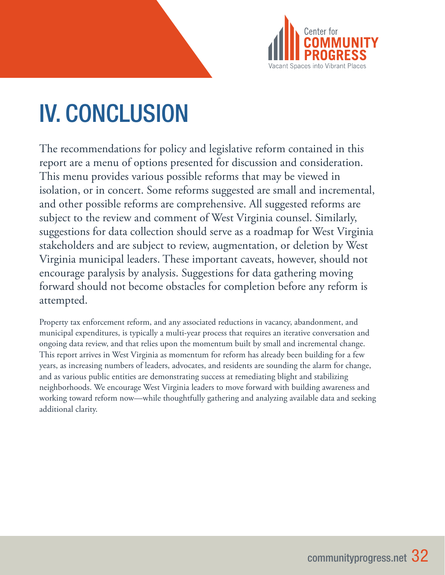

# IV. CONCLUSION

The recommendations for policy and legislative reform contained in this report are a menu of options presented for discussion and consideration. This menu provides various possible reforms that may be viewed in isolation, or in concert. Some reforms suggested are small and incremental, and other possible reforms are comprehensive. All suggested reforms are subject to the review and comment of West Virginia counsel. Similarly, suggestions for data collection should serve as a roadmap for West Virginia stakeholders and are subject to review, augmentation, or deletion by West Virginia municipal leaders. These important caveats, however, should not encourage paralysis by analysis. Suggestions for data gathering moving forward should not become obstacles for completion before any reform is attempted.

Property tax enforcement reform, and any associated reductions in vacancy, abandonment, and municipal expenditures, is typically a multi-year process that requires an iterative conversation and ongoing data review, and that relies upon the momentum built by small and incremental change. This report arrives in West Virginia as momentum for reform has already been building for a few years, as increasing numbers of leaders, advocates, and residents are sounding the alarm for change, and as various public entities are demonstrating success at remediating blight and stabilizing neighborhoods. We encourage West Virginia leaders to move forward with building awareness and working toward reform now—while thoughtfully gathering and analyzing available data and seeking additional clarity.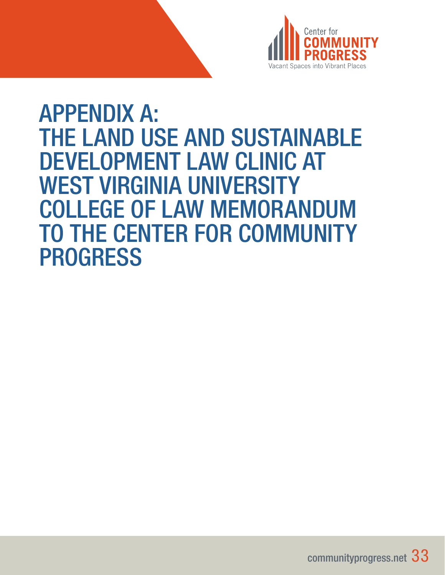

# APPENDIX A: THE LAND USE AND SUSTAINABLE DEVELOPMENT LAW CLINIC AT WEST VIRGINIA UNIVERSITY COLLEGE OF LAW MEMORANDUM TO THE CENTER FOR COMMUNITY PROGRESS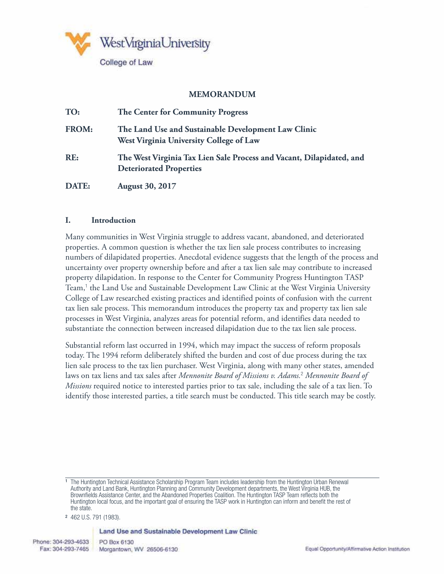

### **MEMORANDUM**

| TO:          | The Center for Community Progress                                                                      |
|--------------|--------------------------------------------------------------------------------------------------------|
| <b>FROM:</b> | The Land Use and Sustainable Development Law Clinic<br>West Virginia University College of Law         |
| RE:          | The West Virginia Tax Lien Sale Process and Vacant, Dilapidated, and<br><b>Deteriorated Properties</b> |
| DATE:        | <b>August 30, 2017</b>                                                                                 |

#### **I. Introduction**

Many communities in West Virginia struggle to address vacant, abandoned, and deteriorated properties. A common question is whether the tax lien sale process contributes to increasing numbers of dilapidated properties. Anecdotal evidence suggests that the length of the process and uncertainty over property ownership before and after a tax lien sale may contribute to increased property dilapidation. In response to the Center for Community Progress Huntington TASP Team,<sup>1</sup> the Land Use and Sustainable Development Law Clinic at the West Virginia University College of Law researched existing practices and identified points of confusion with the current tax lien sale process. This memorandum introduces the property tax and property tax lien sale processes in West Virginia, analyzes areas for potential reform, and identifies data needed to substantiate the connection between increased dilapidation due to the tax lien sale process.

Substantial reform last occurred in 1994, which may impact the success of reform proposals today. The 1994 reform deliberately shifted the burden and cost of due process during the tax lien sale process to the tax lien purchaser. West Virginia, along with many other states, amended laws on tax liens and tax sales after *Mennonite Board of Missions v. Adams.*<sup>2</sup>  *Mennonite Board of Missions* required notice to interested parties prior to tax sale, including the sale of a tax lien. To identify those interested parties, a title search must be conducted. This title search may be costly.

#### Land Use and Sustainable Development Law Clinic

<sup>1</sup> The Huntington Technical Assistance Scholarship Program Team includes leadership from the Huntington Urban Renewal Authority and Land Bank, Huntington Planning and Community Development departments, the West Virginia HUB, the Brownfields Assistance Center, and the Abandoned Properties Coalition. The Huntington TASP Team reflects both the Huntington local focus, and the important goal of ensuring the TASP work in Huntington can inform and benefit the rest of the state.

<sup>2</sup> 462 U.S. 791 (1983).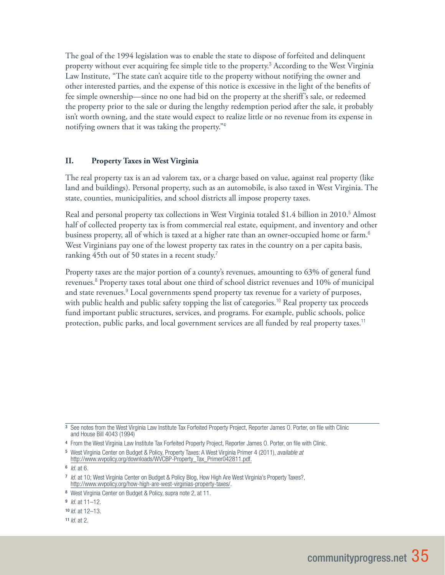The goal of the 1994 legislation was to enable the state to dispose of forfeited and delinquent property without ever acquiring fee simple title to the property.<sup>3</sup> According to the West Virginia Law Institute, "The state can't acquire title to the property without notifying the owner and other interested parties, and the expense of this notice is excessive in the light of the benefits of fee simple ownership—since no one had bid on the property at the sheriff's sale, or redeemed the property prior to the sale or during the lengthy redemption period after the sale, it probably isn't worth owning, and the state would expect to realize little or no revenue from its expense in notifying owners that it was taking the property."<sup>4</sup>

### **II. Property Taxes in West Virginia**

The real property tax is an ad valorem tax, or a charge based on value, against real property (like land and buildings). Personal property, such as an automobile, is also taxed in West Virginia. The state, counties, municipalities, and school districts all impose property taxes.

Real and personal property tax collections in West Virginia totaled \$1.4 billion in 2010.<sup>5</sup> Almost half of collected property tax is from commercial real estate, equipment, and inventory and other business property, all of which is taxed at a higher rate than an owner-occupied home or farm.<sup>6</sup> West Virginians pay one of the lowest property tax rates in the country on a per capita basis, ranking  $45$ th out of 50 states in a recent study.<sup>7</sup>

Property taxes are the major portion of a county's revenues, amounting to 63% of general fund revenues.<sup>8</sup> Property taxes total about one third of school district revenues and 10% of municipal and state revenues.<sup>9</sup> Local governments spend property tax revenue for a variety of purposes, with public health and public safety topping the list of categories.<sup>10</sup> Real property tax proceeds fund important public structures, services, and programs. For example, public schools, police protection, public parks, and local government services are all funded by real property taxes.<sup>11</sup>

<sup>11</sup> *Id.* at 2.

<sup>3</sup> See notes from the West Virginia Law Institute Tax Forfeited Property Project, Reporter James O. Porter, on file with Clinic and House Bill 4043 (1994)

<sup>4</sup> From the West Virginia Law Institute Tax Forfeited Property Project, Reporter James O. Porter, on file with Clinic.

<sup>5</sup> West Virginia Center on Budget & Policy, Property Taxes: A West Virginia Primer 4 (2011), *available at* http://www.wvpolicy.org/downloads/WVCBP-Property\_Tax\_Primer042811.pdf.

<sup>6</sup> *Id.* at 6.

<sup>7</sup> *Id.* at 10; West Virginia Center on Budget & Policy Blog, How High Are West Virginia's Property Taxes?, http://www.wvpolicy.org/how-high-are-west-virginias-property-taxes/.

<sup>8</sup> West Virginia Center on Budget & Policy, supra note 2, at 11.

<sup>9</sup> *Id.* at 11–12.

<sup>10</sup> *Id.* at 12–13.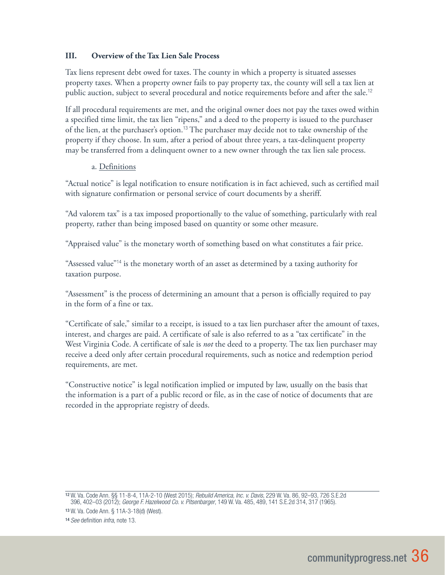### **III. Overview of the Tax Lien Sale Process**

Tax liens represent debt owed for taxes. The county in which a property is situated assesses property taxes. When a property owner fails to pay property tax, the county will sell a tax lien at public auction, subject to several procedural and notice requirements before and after the sale.<sup>12</sup>

If all procedural requirements are met, and the original owner does not pay the taxes owed within a specified time limit, the tax lien "ripens," and a deed to the property is issued to the purchaser of the lien, at the purchaser's option.<sup>13</sup> The purchaser may decide not to take ownership of the property if they choose. In sum, after a period of about three years, a tax-delinquent property may be transferred from a delinquent owner to a new owner through the tax lien sale process.

#### a. Definitions

"Actual notice" is legal notification to ensure notification is in fact achieved, such as certified mail with signature confirmation or personal service of court documents by a sheriff.

"Ad valorem tax" is a tax imposed proportionally to the value of something, particularly with real property, rather than being imposed based on quantity or some other measure.

"Appraised value" is the monetary worth of something based on what constitutes a fair price.

"Assessed value"<sup>14</sup> is the monetary worth of an asset as determined by a taxing authority for taxation purpose.

"Assessment" is the process of determining an amount that a person is officially required to pay in the form of a fine or tax.

"Certificate of sale," similar to a receipt, is issued to a tax lien purchaser after the amount of taxes, interest, and charges are paid. A certificate of sale is also referred to as a "tax certificate" in the West Virginia Code. A certificate of sale is *not* the deed to a property. The tax lien purchaser may receive a deed only after certain procedural requirements, such as notice and redemption period requirements, are met.

"Constructive notice" is legal notification implied or imputed by law, usually on the basis that the information is a part of a public record or file, as in the case of notice of documents that are recorded in the appropriate registry of deeds.

<sup>12</sup> W. Va. Code Ann. §§ 11-8-4, 11A-2-10 (West 2015); *Rebuild America, Inc. v. Davis*, 229 W. Va. 86, 92–93, 726 S.E.2d 396, 402–03 (2012); *George F. Hazelwood Co. v. Pitsenbarger*, 149 W. Va. 485, 489, 141 S.E.2d 314, 317 (1965).

<sup>13</sup> W. Va. Code Ann. § 11A-3-18(d) (West).

<sup>14</sup> *See* definition *infra*, note 13.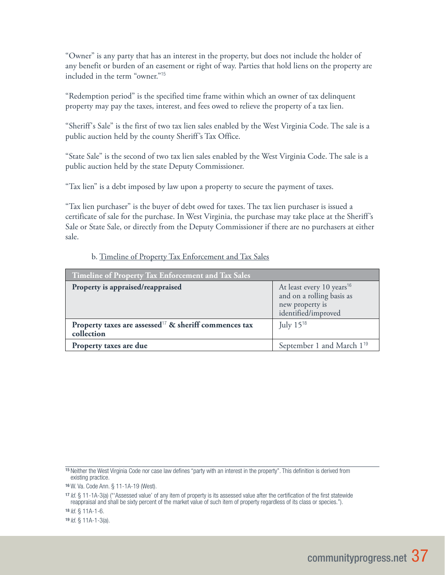"Owner" is any party that has an interest in the property, but does not include the holder of any benefit or burden of an easement or right of way. Parties that hold liens on the property are included in the term "owner."<sup>15</sup>

"Redemption period" is the specified time frame within which an owner of tax delinquent property may pay the taxes, interest, and fees owed to relieve the property of a tax lien.

"Sheriff's Sale" is the first of two tax lien sales enabled by the West Virginia Code. The sale is a public auction held by the county Sheriff's Tax Office.

"State Sale" is the second of two tax lien sales enabled by the West Virginia Code. The sale is a public auction held by the state Deputy Commissioner.

"Tax lien" is a debt imposed by law upon a property to secure the payment of taxes.

"Tax lien purchaser" is the buyer of debt owed for taxes. The tax lien purchaser is issued a certificate of sale for the purchase. In West Virginia, the purchase may take place at the Sheriff's Sale or State Sale, or directly from the Deputy Commissioner if there are no purchasers at either sale.

#### b. Timeline of Property Tax Enforcement and Tax Sales

| Timeline of Property Tax Enforcement and Tax Sales                              |                                                                                                              |  |  |
|---------------------------------------------------------------------------------|--------------------------------------------------------------------------------------------------------------|--|--|
| Property is appraised/reappraised                                               | At least every 10 years <sup>16</sup><br>and on a rolling basis as<br>new property is<br>identified/improved |  |  |
| Property taxes are assessed <sup>17</sup> & sheriff commences tax<br>collection | July $15^{18}$                                                                                               |  |  |
| Property taxes are due                                                          | September 1 and March 1 <sup>19</sup>                                                                        |  |  |

<sup>18</sup> *Id.* § 11A-1-6.

<sup>19</sup> *Id.* § 11A-1-3(a).

<sup>15</sup> Neither the West Virginia Code nor case law defines "party with an interest in the property". This definition is derived from existing practice.

<sup>16</sup> W. Va. Code Ann. § 11-1A-19 (West).

<sup>17</sup> *Id.* § 11-1A-3(a) ("'Assessed value' of any item of property is its assessed value after the certification of the first statewide reappraisal and shall be sixty percent of the market value of such item of property regardless of its class or species.").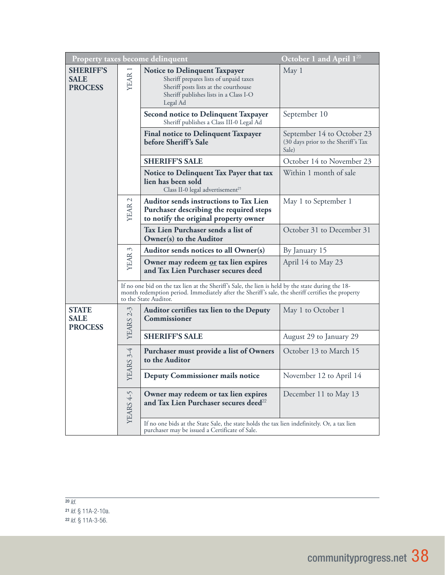| October 1 and April $1^{20}$<br>Property taxes become delinquent |                                                                                                                                                                                                                                 |                                                                                                                                                                               |                                                                            |
|------------------------------------------------------------------|---------------------------------------------------------------------------------------------------------------------------------------------------------------------------------------------------------------------------------|-------------------------------------------------------------------------------------------------------------------------------------------------------------------------------|----------------------------------------------------------------------------|
| <b>SHERIFF'S</b><br><b>SALE</b><br><b>PROCESS</b>                | YEAR 1                                                                                                                                                                                                                          | <b>Notice to Delinquent Taxpayer</b><br>Sheriff prepares lists of unpaid taxes<br>Sheriff posts lists at the courthouse<br>Sheriff publishes lists in a Class I-O<br>Legal Ad | May 1                                                                      |
|                                                                  |                                                                                                                                                                                                                                 | <b>Second notice to Delinquent Taxpayer</b><br>Sheriff publishes a Class III-0 Legal Ad                                                                                       | September 10                                                               |
|                                                                  |                                                                                                                                                                                                                                 | <b>Final notice to Delinquent Taxpayer</b><br>before Sheriff's Sale                                                                                                           | September 14 to October 23<br>(30 days prior to the Sheriff's Tax<br>Sale) |
|                                                                  |                                                                                                                                                                                                                                 | <b>SHERIFF'S SALE</b>                                                                                                                                                         | October 14 to November 23                                                  |
|                                                                  |                                                                                                                                                                                                                                 | Notice to Delinquent Tax Payer that tax<br>lien has been sold<br>Class II-0 legal advertisement <sup>21</sup>                                                                 | Within 1 month of sale                                                     |
|                                                                  | <b>YEAR</b>                                                                                                                                                                                                                     | Auditor sends instructions to Tax Lien<br>Purchaser describing the required steps<br>to notify the original property owner                                                    | May 1 to September 1                                                       |
|                                                                  |                                                                                                                                                                                                                                 | Tax Lien Purchaser sends a list of<br>Owner(s) to the Auditor                                                                                                                 | October 31 to December 31                                                  |
|                                                                  |                                                                                                                                                                                                                                 | Auditor sends notices to all Owner(s)                                                                                                                                         | By January 15                                                              |
|                                                                  | YEAR 3                                                                                                                                                                                                                          | Owner may redeem or tax lien expires<br>and Tax Lien Purchaser secures deed                                                                                                   | April 14 to May 23                                                         |
|                                                                  | If no one bid on the tax lien at the Sheriff's Sale, the lien is held by the state during the 18-<br>month redemption period. Immediately after the Sheriff's sale, the sheriff certifies the property<br>to the State Auditor. |                                                                                                                                                                               |                                                                            |
| <b>STATE</b><br><b>SALE</b><br><b>PROCESS</b>                    | <b>YEARS 2-3</b>                                                                                                                                                                                                                | Auditor certifies tax lien to the Deputy<br>Commissioner                                                                                                                      | May 1 to October 1                                                         |
|                                                                  |                                                                                                                                                                                                                                 | <b>SHERIFF'S SALE</b>                                                                                                                                                         | August 29 to January 29                                                    |
|                                                                  | YEARS 3-4                                                                                                                                                                                                                       | Purchaser must provide a list of Owners<br>to the Auditor                                                                                                                     | October 13 to March 15                                                     |
|                                                                  |                                                                                                                                                                                                                                 | Deputy Commissioner mails notice                                                                                                                                              | November 12 to April 14                                                    |
|                                                                  | YEARS 4-5                                                                                                                                                                                                                       | Owner may redeem or tax lien expires<br>and Tax Lien Purchaser secures deed <sup>22</sup>                                                                                     | December 11 to May 13                                                      |
|                                                                  |                                                                                                                                                                                                                                 | If no one bids at the State Sale, the state holds the tax lien indefinitely. Or, a tax lien<br>purchaser may be issued a Certificate of Sale.                                 |                                                                            |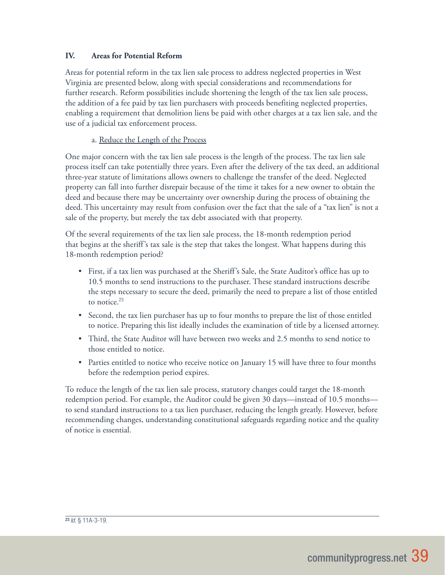### **IV. Areas for Potential Reform**

Areas for potential reform in the tax lien sale process to address neglected properties in West Virginia are presented below, along with special considerations and recommendations for further research. Reform possibilities include shortening the length of the tax lien sale process, the addition of a fee paid by tax lien purchasers with proceeds benefiting neglected properties, enabling a requirement that demolition liens be paid with other charges at a tax lien sale, and the use of a judicial tax enforcement process.

### a. Reduce the Length of the Process

One major concern with the tax lien sale process is the length of the process. The tax lien sale process itself can take potentially three years. Even after the delivery of the tax deed, an additional three-year statute of limitations allows owners to challenge the transfer of the deed. Neglected property can fall into further disrepair because of the time it takes for a new owner to obtain the deed and because there may be uncertainty over ownership during the process of obtaining the deed. This uncertainty may result from confusion over the fact that the sale of a "tax lien" is not a sale of the property, but merely the tax debt associated with that property.

Of the several requirements of the tax lien sale process, the 18-month redemption period that begins at the sheriff's tax sale is the step that takes the longest. What happens during this 18-month redemption period?

- First, if a tax lien was purchased at the Sheriff's Sale, the State Auditor's office has up to 10.5 months to send instructions to the purchaser. These standard instructions describe the steps necessary to secure the deed, primarily the need to prepare a list of those entitled to notice.<sup>23</sup>
- Second, the tax lien purchaser has up to four months to prepare the list of those entitled to notice. Preparing this list ideally includes the examination of title by a licensed attorney.
- Third, the State Auditor will have between two weeks and 2.5 months to send notice to those entitled to notice.
- Parties entitled to notice who receive notice on January 15 will have three to four months before the redemption period expires.

To reduce the length of the tax lien sale process, statutory changes could target the 18-month redemption period. For example, the Auditor could be given 30 days—instead of 10.5 months to send standard instructions to a tax lien purchaser, reducing the length greatly. However, before recommending changes, understanding constitutional safeguards regarding notice and the quality of notice is essential.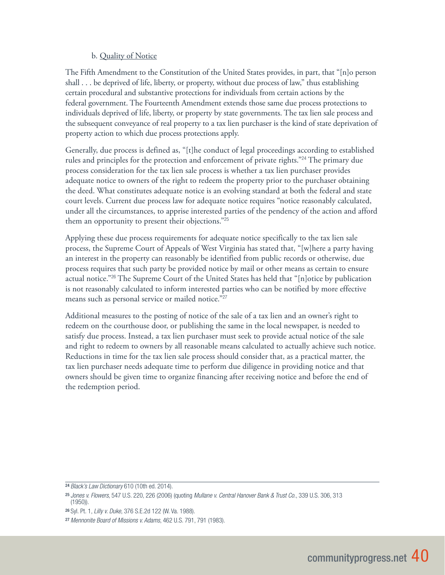### b. Quality of Notice

The Fifth Amendment to the Constitution of the United States provides, in part, that "[n]o person shall . . . be deprived of life, liberty, or property, without due process of law," thus establishing certain procedural and substantive protections for individuals from certain actions by the federal government. The Fourteenth Amendment extends those same due process protections to individuals deprived of life, liberty, or property by state governments. The tax lien sale process and the subsequent conveyance of real property to a tax lien purchaser is the kind of state deprivation of property action to which due process protections apply.

Generally, due process is defined as, "[t]he conduct of legal proceedings according to established rules and principles for the protection and enforcement of private rights."<sup>24</sup> The primary due process consideration for the tax lien sale process is whether a tax lien purchaser provides adequate notice to owners of the right to redeem the property prior to the purchaser obtaining the deed. What constitutes adequate notice is an evolving standard at both the federal and state court levels. Current due process law for adequate notice requires "notice reasonably calculated, under all the circumstances, to apprise interested parties of the pendency of the action and afford them an opportunity to present their objections."<sup>25</sup>

Applying these due process requirements for adequate notice specifically to the tax lien sale process, the Supreme Court of Appeals of West Virginia has stated that, "[w]here a party having an interest in the property can reasonably be identified from public records or otherwise, due process requires that such party be provided notice by mail or other means as certain to ensure actual notice."<sup>26</sup> The Supreme Court of the United States has held that "[n]otice by publication is not reasonably calculated to inform interested parties who can be notified by more effective means such as personal service or mailed notice."<sup>27</sup>

Additional measures to the posting of notice of the sale of a tax lien and an owner's right to redeem on the courthouse door, or publishing the same in the local newspaper, is needed to satisfy due process. Instead, a tax lien purchaser must seek to provide actual notice of the sale and right to redeem to owners by all reasonable means calculated to actually achieve such notice. Reductions in time for the tax lien sale process should consider that, as a practical matter, the tax lien purchaser needs adequate time to perform due diligence in providing notice and that owners should be given time to organize financing after receiving notice and before the end of the redemption period.

<sup>24</sup> *Black's Law Dictionary* 610 (10th ed. 2014).

<sup>25</sup> *Jones v. Flowers*, 547 U.S. 220, 226 (2006) (quoting *Mullane v. Central Hanover Bank & Trust Co.*, 339 U.S. 306, 313 (1950)).

<sup>26</sup> Syl. Pt. 1, *Lilly v. Duke*, 376 S.E.2d 122 (W. Va. 1988).

<sup>27</sup> *Mennonite Board of Missions v. Adams*, 462 U.S. 791, 791 (1983).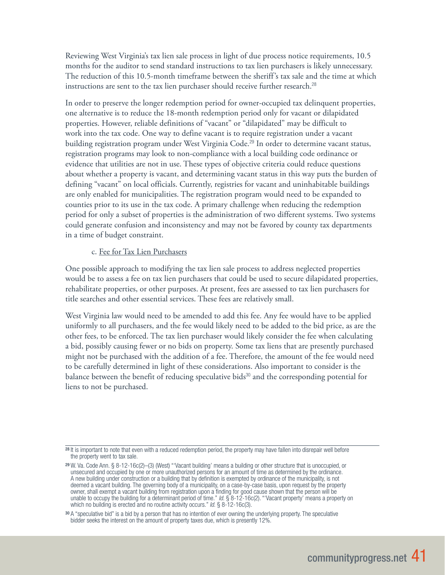Reviewing West Virginia's tax lien sale process in light of due process notice requirements, 10.5 months for the auditor to send standard instructions to tax lien purchasers is likely unnecessary. The reduction of this 10.5-month timeframe between the sheriff's tax sale and the time at which instructions are sent to the tax lien purchaser should receive further research.<sup>28</sup>

In order to preserve the longer redemption period for owner-occupied tax delinquent properties, one alternative is to reduce the 18-month redemption period only for vacant or dilapidated properties. However, reliable definitions of "vacant" or "dilapidated" may be difficult to work into the tax code. One way to define vacant is to require registration under a vacant building registration program under West Virginia Code.<sup>29</sup> In order to determine vacant status, registration programs may look to non-compliance with a local building code ordinance or evidence that utilities are not in use. These types of objective criteria could reduce questions about whether a property is vacant, and determining vacant status in this way puts the burden of defining "vacant" on local officials. Currently, registries for vacant and uninhabitable buildings are only enabled for municipalities. The registration program would need to be expanded to counties prior to its use in the tax code. A primary challenge when reducing the redemption period for only a subset of properties is the administration of two different systems. Two systems could generate confusion and inconsistency and may not be favored by county tax departments in a time of budget constraint.

#### c. Fee for Tax Lien Purchasers

One possible approach to modifying the tax lien sale process to address neglected properties would be to assess a fee on tax lien purchasers that could be used to secure dilapidated properties, rehabilitate properties, or other purposes. At present, fees are assessed to tax lien purchasers for title searches and other essential services. These fees are relatively small.

West Virginia law would need to be amended to add this fee. Any fee would have to be applied uniformly to all purchasers, and the fee would likely need to be added to the bid price, as are the other fees, to be enforced. The tax lien purchaser would likely consider the fee when calculating a bid, possibly causing fewer or no bids on property. Some tax liens that are presently purchased might not be purchased with the addition of a fee. Therefore, the amount of the fee would need to be carefully determined in light of these considerations. Also important to consider is the balance between the benefit of reducing speculative bids<sup>30</sup> and the corresponding potential for liens to not be purchased.

<sup>28</sup> It is important to note that even with a reduced redemption period, the property may have fallen into disrepair well before the property went to tax sale.

<sup>29</sup> W. Va. Code Ann. § 8-12-16c(2)–(3) (West) "'Vacant building' means a building or other structure that is unoccupied, or unsecured and occupied by one or more unauthorized persons for an amount of time as determined by the ordinance. A new building under construction or a building that by definition is exempted by ordinance of the municipality, is not deemed a vacant building. The governing body of a municipality, on a case-by-case basis, upon request by the property owner, shall exempt a vacant building from registration upon a finding for good cause shown that the person will be unable to occupy the building for a determinant period of time." *Id.* § 8-12-16c(2). "'Vacant property' means a property on which no building is erected and no routine activity occurs." *Id.* § 8-12-16c(3).

<sup>30</sup> A "speculative bid" is a bid by a person that has no intention of ever owning the underlying property. The speculative bidder seeks the interest on the amount of property taxes due, which is presently 12%.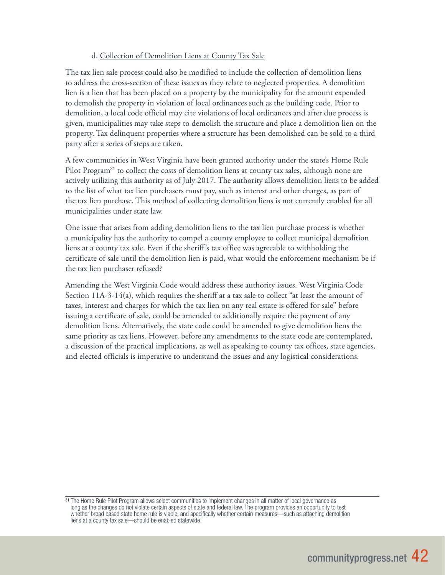### d. Collection of Demolition Liens at County Tax Sale

The tax lien sale process could also be modified to include the collection of demolition liens to address the cross-section of these issues as they relate to neglected properties. A demolition lien is a lien that has been placed on a property by the municipality for the amount expended to demolish the property in violation of local ordinances such as the building code. Prior to demolition, a local code official may cite violations of local ordinances and after due process is given, municipalities may take steps to demolish the structure and place a demolition lien on the property. Tax delinquent properties where a structure has been demolished can be sold to a third party after a series of steps are taken.

A few communities in West Virginia have been granted authority under the state's Home Rule Pilot Program<sup>31</sup> to collect the costs of demolition liens at county tax sales, although none are actively utilizing this authority as of July 2017. The authority allows demolition liens to be added to the list of what tax lien purchasers must pay, such as interest and other charges, as part of the tax lien purchase. This method of collecting demolition liens is not currently enabled for all municipalities under state law.

One issue that arises from adding demolition liens to the tax lien purchase process is whether a municipality has the authority to compel a county employee to collect municipal demolition liens at a county tax sale. Even if the sheriff's tax office was agreeable to withholding the certificate of sale until the demolition lien is paid, what would the enforcement mechanism be if the tax lien purchaser refused?

Amending the West Virginia Code would address these authority issues. West Virginia Code Section 11A-3-14(a), which requires the sheriff at a tax sale to collect "at least the amount of taxes, interest and charges for which the tax lien on any real estate is offered for sale" before issuing a certificate of sale, could be amended to additionally require the payment of any demolition liens. Alternatively, the state code could be amended to give demolition liens the same priority as tax liens. However, before any amendments to the state code are contemplated, a discussion of the practical implications, as well as speaking to county tax offices, state agencies, and elected officials is imperative to understand the issues and any logistical considerations.

<sup>&</sup>lt;sup>31</sup> The Home Rule Pilot Program allows select communities to implement changes in all matter of local governance as long as the changes do not violate certain aspects of state and federal law. The program provides an opportunity to test whether broad based state home rule is viable, and specifically whether certain measures—such as attaching demolition liens at a county tax sale—should be enabled statewide.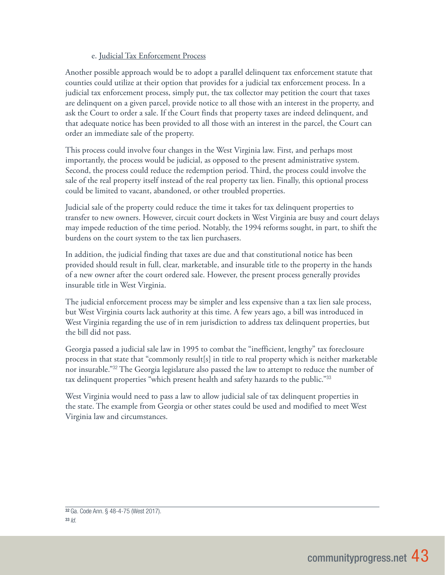### e. Judicial Tax Enforcement Process

Another possible approach would be to adopt a parallel delinquent tax enforcement statute that counties could utilize at their option that provides for a judicial tax enforcement process. In a judicial tax enforcement process, simply put, the tax collector may petition the court that taxes are delinquent on a given parcel, provide notice to all those with an interest in the property, and ask the Court to order a sale. If the Court finds that property taxes are indeed delinquent, and that adequate notice has been provided to all those with an interest in the parcel, the Court can order an immediate sale of the property.

This process could involve four changes in the West Virginia law. First, and perhaps most importantly, the process would be judicial, as opposed to the present administrative system. Second, the process could reduce the redemption period. Third, the process could involve the sale of the real property itself instead of the real property tax lien. Finally, this optional process could be limited to vacant, abandoned, or other troubled properties.

Judicial sale of the property could reduce the time it takes for tax delinquent properties to transfer to new owners. However, circuit court dockets in West Virginia are busy and court delays may impede reduction of the time period. Notably, the 1994 reforms sought, in part, to shift the burdens on the court system to the tax lien purchasers.

In addition, the judicial finding that taxes are due and that constitutional notice has been provided should result in full, clear, marketable, and insurable title to the property in the hands of a new owner after the court ordered sale. However, the present process generally provides insurable title in West Virginia.

The judicial enforcement process may be simpler and less expensive than a tax lien sale process, but West Virginia courts lack authority at this time. A few years ago, a bill was introduced in West Virginia regarding the use of in rem jurisdiction to address tax delinquent properties, but the bill did not pass.

Georgia passed a judicial sale law in 1995 to combat the "inefficient, lengthy" tax foreclosure process in that state that "commonly result[s] in title to real property which is neither marketable nor insurable."<sup>32</sup> The Georgia legislature also passed the law to attempt to reduce the number of tax delinquent properties "which present health and safety hazards to the public."<sup>33</sup>

West Virginia would need to pass a law to allow judicial sale of tax delinquent properties in the state. The example from Georgia or other states could be used and modified to meet West Virginia law and circumstances.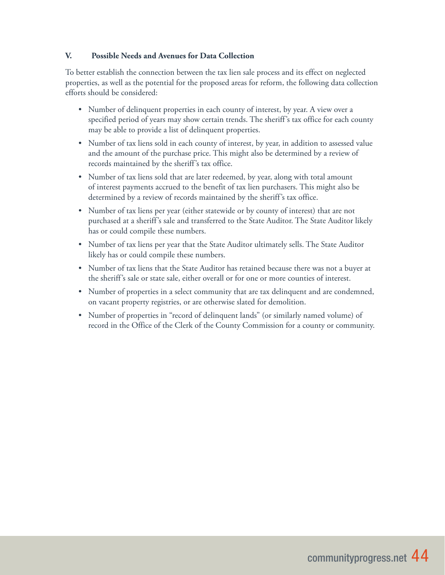### **V. Possible Needs and Avenues for Data Collection**

To better establish the connection between the tax lien sale process and its effect on neglected properties, as well as the potential for the proposed areas for reform, the following data collection efforts should be considered:

- Number of delinquent properties in each county of interest, by year. A view over a specified period of years may show certain trends. The sheriff's tax office for each county may be able to provide a list of delinquent properties.
- Number of tax liens sold in each county of interest, by year, in addition to assessed value and the amount of the purchase price. This might also be determined by a review of records maintained by the sheriff's tax office.
- Number of tax liens sold that are later redeemed, by year, along with total amount of interest payments accrued to the benefit of tax lien purchasers. This might also be determined by a review of records maintained by the sheriff's tax office.
- Number of tax liens per year (either statewide or by county of interest) that are not purchased at a sheriff's sale and transferred to the State Auditor. The State Auditor likely has or could compile these numbers.
- Number of tax liens per year that the State Auditor ultimately sells. The State Auditor likely has or could compile these numbers.
- Number of tax liens that the State Auditor has retained because there was not a buyer at the sheriff's sale or state sale, either overall or for one or more counties of interest.
- Number of properties in a select community that are tax delinquent and are condemned, on vacant property registries, or are otherwise slated for demolition.
- Number of properties in "record of delinquent lands" (or similarly named volume) of record in the Office of the Clerk of the County Commission for a county or community.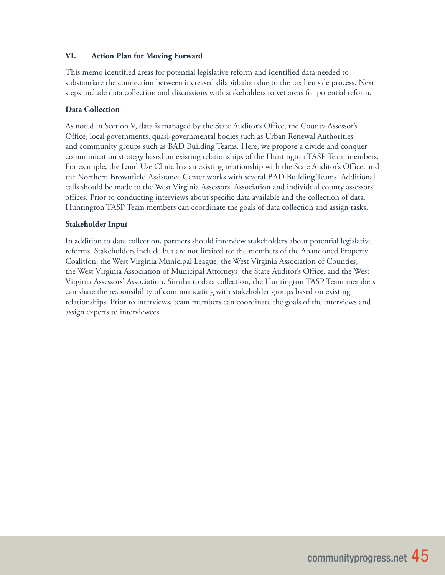### **VI. Action Plan for Moving Forward**

This memo identified areas for potential legislative reform and identified data needed to substantiate the connection between increased dilapidation due to the tax lien sale process. Next steps include data collection and discussions with stakeholders to vet areas for potential reform.

### **Data Collection**

As noted in Section V, data is managed by the State Auditor's Office, the County Assessor's Office, local governments, quasi-governmental bodies such as Urban Renewal Authorities and community groups such as BAD Building Teams. Here, we propose a divide and conquer communication strategy based on existing relationships of the Huntington TASP Team members. For example, the Land Use Clinic has an existing relationship with the State Auditor's Office, and the Northern Brownfield Assistance Center works with several BAD Building Teams. Additional calls should be made to the West Virginia Assessors' Association and individual county assessors' offices. Prior to conducting interviews about specific data available and the collection of data, Huntington TASP Team members can coordinate the goals of data collection and assign tasks.

#### **Stakeholder Input**

In addition to data collection, partners should interview stakeholders about potential legislative reforms. Stakeholders include but are not limited to: the members of the Abandoned Property Coalition, the West Virginia Municipal League, the West Virginia Association of Counties, the West Virginia Association of Municipal Attorneys, the State Auditor's Office, and the West Virginia Assessors' Association. Similar to data collection, the Huntington TASP Team members can share the responsibility of communicating with stakeholder groups based on existing relationships. Prior to interviews, team members can coordinate the goals of the interviews and assign experts to interviewees.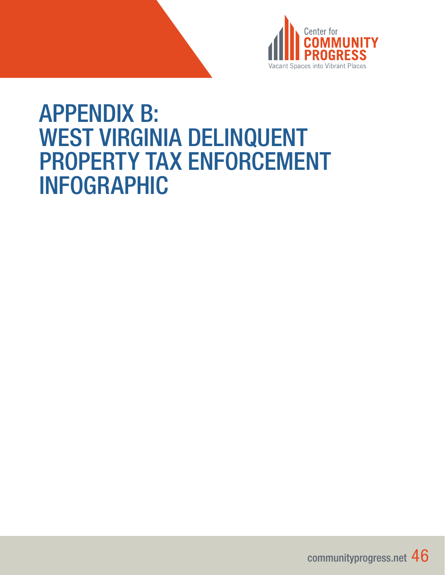

# APPENDIX B: WEST VIRGINIA DELINQUENT PROPERTY TAX ENFORCEMENT INFOGRAPHIC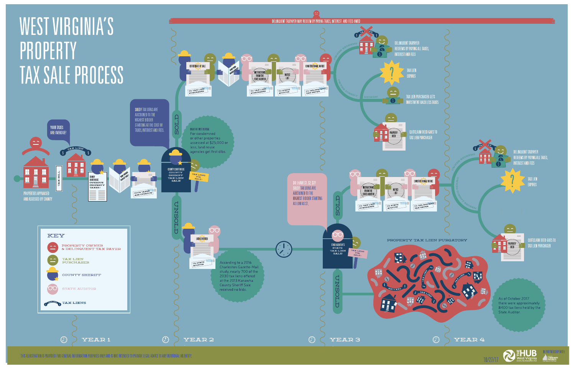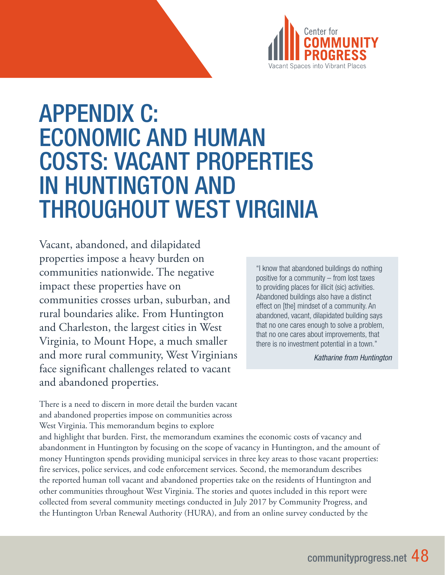

# APPENDIX C: ECONOMIC AND HUMAN COSTS: VACANT PROPERTIES IN HUNTINGTON AND THROUGHOUT WEST VIRGINIA

Vacant, abandoned, and dilapidated properties impose a heavy burden on communities nationwide. The negative impact these properties have on communities crosses urban, suburban, and rural boundaries alike. From Huntington and Charleston, the largest cities in West Virginia, to Mount Hope, a much smaller and more rural community, West Virginians face significant challenges related to vacant and abandoned properties.

"I know that abandoned buildings do nothing positive for a community – from lost taxes to providing places for illicit (sic) activities. Abandoned buildings also have a distinct effect on [the] mindset of a community. An abandoned, vacant, dilapidated building says that no one cares enough to solve a problem, that no one cares about improvements, that there is no investment potential in a town."

*Katharine from Huntington*

There is a need to discern in more detail the burden vacant and abandoned properties impose on communities across West Virginia. This memorandum begins to explore

and highlight that burden. First, the memorandum examines the economic costs of vacancy and abandonment in Huntington by focusing on the scope of vacancy in Huntington, and the amount of money Huntington spends providing municipal services in three key areas to those vacant properties: fire services, police services, and code enforcement services. Second, the memorandum describes the reported human toll vacant and abandoned properties take on the residents of Huntington and other communities throughout West Virginia. The stories and quotes included in this report were collected from several community meetings conducted in July 2017 by Community Progress, and the Huntington Urban Renewal Authority (HURA), and from an online survey conducted by the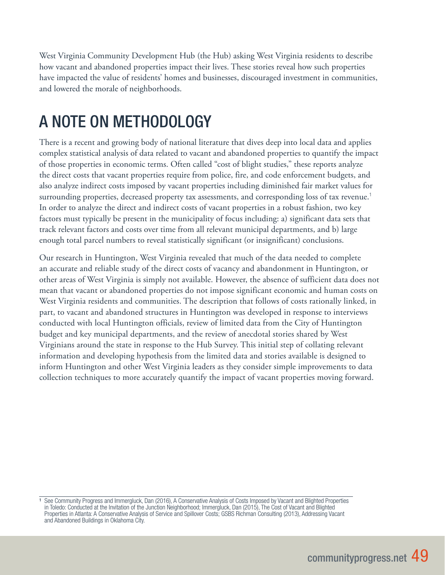West Virginia Community Development Hub (the Hub) asking West Virginia residents to describe how vacant and abandoned properties impact their lives. These stories reveal how such properties have impacted the value of residents' homes and businesses, discouraged investment in communities, and lowered the morale of neighborhoods.

# A NOTE ON METHODOLOGY

There is a recent and growing body of national literature that dives deep into local data and applies complex statistical analysis of data related to vacant and abandoned properties to quantify the impact of those properties in economic terms. Often called "cost of blight studies," these reports analyze the direct costs that vacant properties require from police, fire, and code enforcement budgets, and also analyze indirect costs imposed by vacant properties including diminished fair market values for surrounding properties, decreased property tax assessments, and corresponding loss of tax revenue.<sup>1</sup> In order to analyze the direct and indirect costs of vacant properties in a robust fashion, two key factors must typically be present in the municipality of focus including: a) significant data sets that track relevant factors and costs over time from all relevant municipal departments, and b) large enough total parcel numbers to reveal statistically significant (or insignificant) conclusions.

Our research in Huntington, West Virginia revealed that much of the data needed to complete an accurate and reliable study of the direct costs of vacancy and abandonment in Huntington, or other areas of West Virginia is simply not available. However, the absence of sufficient data does not mean that vacant or abandoned properties do not impose significant economic and human costs on West Virginia residents and communities. The description that follows of costs rationally linked, in part, to vacant and abandoned structures in Huntington was developed in response to interviews conducted with local Huntington officials, review of limited data from the City of Huntington budget and key municipal departments, and the review of anecdotal stories shared by West Virginians around the state in response to the Hub Survey. This initial step of collating relevant information and developing hypothesis from the limited data and stories available is designed to inform Huntington and other West Virginia leaders as they consider simple improvements to data collection techniques to more accurately quantify the impact of vacant properties moving forward.

<sup>1</sup> See Community Progress and Immergluck, Dan (2016), A Conservative Analysis of Costs Imposed by Vacant and Blighted Properties in Toledo: Conducted at the Invitation of the Junction Neighborhood; Immergluck, Dan (2015), The Cost of Vacant and Blighted Properties in Atlanta: A Conservative Analysis of Service and Spillover Costs; GSBS Richman Consulting (2013), Addressing Vacant and Abandoned Buildings in Oklahoma City.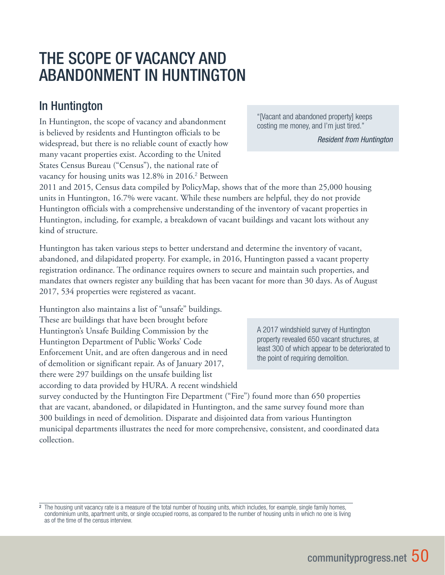# THE SCOPE OF VACANCY AND ABANDONMENT IN HUNTINGTON

## In Huntington

In Huntington, the scope of vacancy and abandonment is believed by residents and Huntington officials to be widespread, but there is no reliable count of exactly how many vacant properties exist. According to the United States Census Bureau ("Census"), the national rate of vacancy for housing units was 12.8% in 2016.<sup>2</sup> Between "[Vacant and abandoned property] keeps costing me money, and I'm just tired."

*Resident from Huntington*

2011 and 2015, Census data compiled by PolicyMap, shows that of the more than 25,000 housing units in Huntington, 16.7% were vacant. While these numbers are helpful, they do not provide Huntington officials with a comprehensive understanding of the inventory of vacant properties in Huntington, including, for example, a breakdown of vacant buildings and vacant lots without any kind of structure.

Huntington has taken various steps to better understand and determine the inventory of vacant, abandoned, and dilapidated property. For example, in 2016, Huntington passed a vacant property registration ordinance. The ordinance requires owners to secure and maintain such properties, and mandates that owners register any building that has been vacant for more than 30 days. As of August 2017, 534 properties were registered as vacant.

Huntington also maintains a list of "unsafe" buildings. These are buildings that have been brought before Huntington's Unsafe Building Commission by the Huntington Department of Public Works' Code Enforcement Unit, and are often dangerous and in need of demolition or significant repair. As of January 2017, there were 297 buildings on the unsafe building list according to data provided by HURA. A recent windshield

A 2017 windshield survey of Huntington property revealed 650 vacant structures, at least 300 of which appear to be deteriorated to the point of requiring demolition.

survey conducted by the Huntington Fire Department ("Fire") found more than 650 properties that are vacant, abandoned, or dilapidated in Huntington, and the same survey found more than 300 buildings in need of demolition. Disparate and disjointed data from various Huntington municipal departments illustrates the need for more comprehensive, consistent, and coordinated data collection.

<sup>2</sup> The housing unit vacancy rate is a measure of the total number of housing units, which includes, for example, single family homes, condominium units, apartment units, or single occupied rooms, as compared to the number of housing units in which no one is living as of the time of the census interview.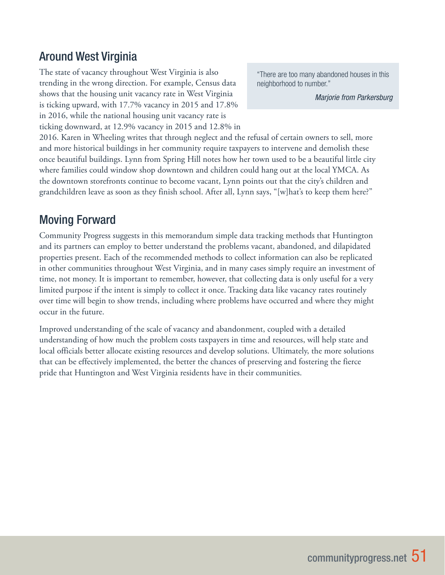## Around West Virginia

The state of vacancy throughout West Virginia is also trending in the wrong direction. For example, Census data shows that the housing unit vacancy rate in West Virginia is ticking upward, with 17.7% vacancy in 2015 and 17.8% in 2016, while the national housing unit vacancy rate is ticking downward, at 12.9% vacancy in 2015 and 12.8% in

"There are too many abandoned houses in this neighborhood to number."

*Marjorie from Parkersburg*

2016. Karen in Wheeling writes that through neglect and the refusal of certain owners to sell, more and more historical buildings in her community require taxpayers to intervene and demolish these once beautiful buildings. Lynn from Spring Hill notes how her town used to be a beautiful little city where families could window shop downtown and children could hang out at the local YMCA. As the downtown storefronts continue to become vacant, Lynn points out that the city's children and grandchildren leave as soon as they finish school. After all, Lynn says, "[w]hat's to keep them here?"

### Moving Forward

Community Progress suggests in this memorandum simple data tracking methods that Huntington and its partners can employ to better understand the problems vacant, abandoned, and dilapidated properties present. Each of the recommended methods to collect information can also be replicated in other communities throughout West Virginia, and in many cases simply require an investment of time, not money. It is important to remember, however, that collecting data is only useful for a very limited purpose if the intent is simply to collect it once. Tracking data like vacancy rates routinely over time will begin to show trends, including where problems have occurred and where they might occur in the future.

Improved understanding of the scale of vacancy and abandonment, coupled with a detailed understanding of how much the problem costs taxpayers in time and resources, will help state and local officials better allocate existing resources and develop solutions. Ultimately, the more solutions that can be effectively implemented, the better the chances of preserving and fostering the fierce pride that Huntington and West Virginia residents have in their communities.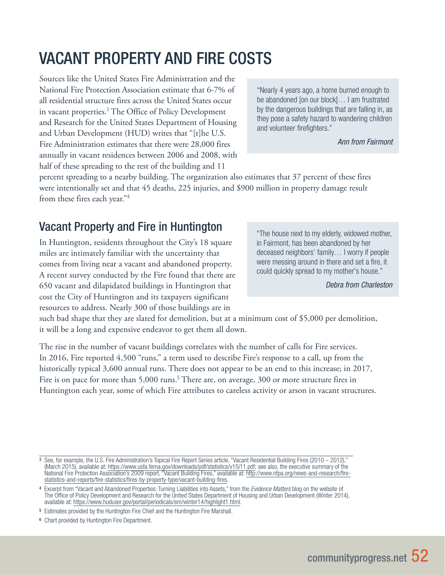# VACANT PROPERTY AND FIRE COSTS

Sources like the United States Fire Administration and the National Fire Protection Association estimate that 6-7% of all residential structure fires across the United States occur in vacant properties.<sup>3</sup> The Office of Policy Development and Research for the United States Department of Housing and Urban Development (HUD) writes that "[t]he U.S. Fire Administration estimates that there were 28,000 fires annually in vacant residences between 2006 and 2008, with half of these spreading to the rest of the building and 11

"Nearly 4 years ago, a home burned enough to be abandoned [on our block]… I am frustrated by the dangerous buildings that are falling in, as they pose a safety hazard to wandering children and volunteer firefighters."

*Ann from Fairmont*

percent spreading to a nearby building. The organization also estimates that 37 percent of these fires were intentionally set and that 45 deaths, 225 injuries, and \$900 million in property damage result from these fires each year."<sup>4</sup>

## Vacant Property and Fire in Huntington

In Huntington, residents throughout the City's 18 square miles are intimately familiar with the uncertainty that comes from living near a vacant and abandoned property. A recent survey conducted by the Fire found that there are 650 vacant and dilapidated buildings in Huntington that cost the City of Huntington and its taxpayers significant resources to address. Nearly 300 of those buildings are in

"The house next to my elderly, widowed mother, in Fairmont, has been abandoned by her deceased neighbors' family… I worry if people were messing around in there and set a fire, it could quickly spread to my mother's house."

*Debra from Charleston*

such bad shape that they are slated for demolition, but at a minimum cost of \$5,000 per demolition, it will be a long and expensive endeavor to get them all down.

The rise in the number of vacant buildings correlates with the number of calls for Fire services. In 2016, Fire reported 4,500 "runs," a term used to describe Fire's response to a call, up from the historically typical 3,600 annual runs. There does not appear to be an end to this increase; in 2017, Fire is on pace for more than 5,000 runs.<sup>5</sup> There are, on average, 300 or more structure fires in Huntington each year, some of which Fire attributes to careless activity or arson in vacant structures.

<sup>3</sup> See, for example, the U.S. Fire Administration's Topical Fire Report Series article, "Vacant Residential Building Fires (2010 – 2012)," (March 2015), available at: https://www.usfa.fema.gov/downloads/pdf/statistics/v15i11.pdf; see also, the executive summary of the National Fire Protection Association's 2009 report, "Vacant Building Fires," available at: http://www.nfpa.org/news-and-research/firestatistics-and-reports/fire-statistics/fires-by-property-type/vacant-building-fires.

<sup>4</sup> Excerpt from "Vacant and Abandoned Properties: Turning Liabilities into Assets," from the *Evidence Matters* blog on the website of The Office of Policy Development and Research for the United States Department of Housing and Urban Development (Winter 2014), available at: https://www.huduser.gov/portal/periodicals/em/winter14/highlight1.html.

<sup>5</sup> Estimates provided by the Huntington Fire Chief and the Huntington Fire Marshall.

<sup>6</sup> Chart provided by Huntington Fire Department.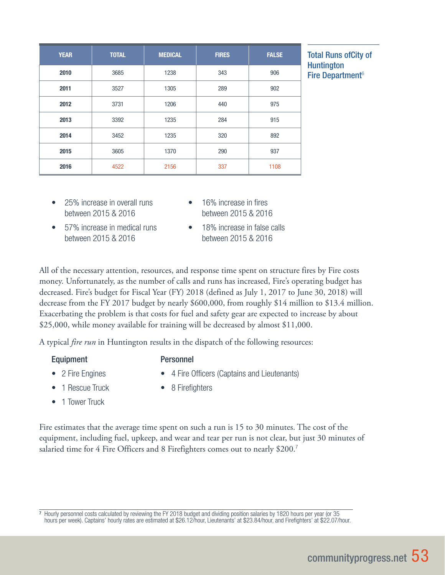| <b>YEAR</b> | <b>TOTAL</b> | <b>MEDICAL</b> | <b>FIRES</b> | <b>FALSE</b> |
|-------------|--------------|----------------|--------------|--------------|
| 2010        | 3685         | 1238           | 343          | 906          |
| 2011        | 3527         | 1305           | 289          | 902          |
| 2012        | 3731         | 1206           | 440          | 975          |
| 2013        | 3392         | 1235           | 284          | 915          |
| 2014        | 3452         | 1235           | 320          | 892          |
| 2015        | 3605         | 1370           | 290          | 937          |
| 2016        | 4522         | 2156           | 337          | 1108         |

**Total Runs ofCity of Huntington** Fire Department<sup> $6$ </sup>

- 25% increase in overall runs 16% increase in fires between 2015 & 2016 between 2015 & 2016
	-
- 57% increase in medical runs 18% increase in false calls between 2015 & 2016 between 2015 & 2016
- 

All of the necessary attention, resources, and response time spent on structure fires by Fire costs money. Unfortunately, as the number of calls and runs has increased, Fire's operating budget has decreased. Fire's budget for Fiscal Year (FY) 2018 (defined as July 1, 2017 to June 30, 2018) will decrease from the FY 2017 budget by nearly \$600,000, from roughly \$14 million to \$13.4 million. Exacerbating the problem is that costs for fuel and safety gear are expected to increase by about \$25,000, while money available for training will be decreased by almost \$11,000.

A typical *fire run* in Huntington results in the dispatch of the following resources:

### Equipment Personnel

- 2 Fire Engines 4 Fire Officers (Captains and Lieutenants)
- 
- 1 Rescue Truck 8 Firefighters
	-
- 1 Tower Truck

Fire estimates that the average time spent on such a run is 15 to 30 minutes. The cost of the equipment, including fuel, upkeep, and wear and tear per run is not clear, but just 30 minutes of salaried time for 4 Fire Officers and 8 Firefighters comes out to nearly \$200.<sup>7</sup>

<sup>7</sup> Hourly personnel costs calculated by reviewing the FY 2018 budget and dividing position salaries by 1820 hours per year (or 35 hours per week). Captains' hourly rates are estimated at \$26.12/hour, Lieutenants' at \$23.84/hour, and Firefighters' at \$22.07/hour.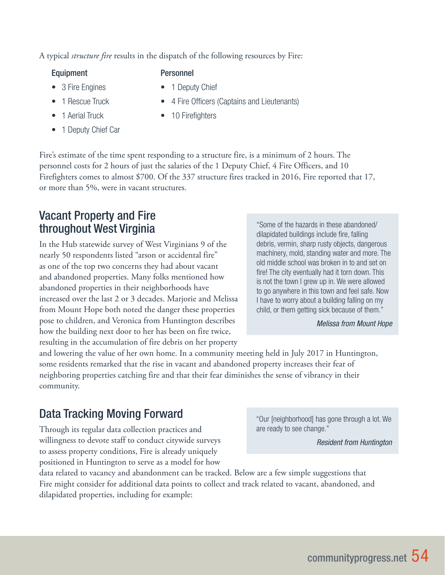A typical *structure fire* results in the dispatch of the following resources by Fire:

### Equipment Personnel

- 
- 
- 
- 1 Deputy Chief Car

- 3 Fire Engines 1 Deputy Chief
	- 1 Rescue Truck 4 Fire Officers (Captains and Lieutenants)
	- 1 Aerial Truck 10 Firefighters

Fire's estimate of the time spent responding to a structure fire, is a minimum of 2 hours. The personnel costs for 2 hours of just the salaries of the 1 Deputy Chief, 4 Fire Officers, and 10 Firefighters comes to almost \$700. Of the 337 structure fires tracked in 2016, Fire reported that 17, or more than 5%, were in vacant structures.

## Vacant Property and Fire throughout West Virginia

In the Hub statewide survey of West Virginians 9 of the nearly 50 respondents listed "arson or accidental fire" as one of the top two concerns they had about vacant and abandoned properties. Many folks mentioned how abandoned properties in their neighborhoods have increased over the last 2 or 3 decades. Marjorie and Melissa from Mount Hope both noted the danger these properties pose to children, and Veronica from Huntington describes how the building next door to her has been on fire twice, resulting in the accumulation of fire debris on her property "Some of the hazards in these abandoned/ dilapidated buildings include fire, falling debris, vermin, sharp rusty objects, dangerous machinery, mold, standing water and more. The old middle school was broken in to and set on fire! The city eventually had it torn down. This is not the town I grew up in. We were allowed to go anywhere in this town and feel safe. Now I have to worry about a building falling on my child, or them getting sick because of them."

*Melissa from Mount Hope*

and lowering the value of her own home. In a community meeting held in July 2017 in Huntington, some residents remarked that the rise in vacant and abandoned property increases their fear of neighboring properties catching fire and that their fear diminishes the sense of vibrancy in their community.

# Data Tracking Moving Forward

Through its regular data collection practices and willingness to devote staff to conduct citywide surveys to assess property conditions, Fire is already uniquely positioned in Huntington to serve as a model for how

data related to vacancy and abandonment can be tracked. Below are a few simple suggestions that Fire might consider for additional data points to collect and track related to vacant, abandoned, and dilapidated properties, including for example:

"Our [neighborhood] has gone through a lot. We are ready to see change."

*Resident from Huntington*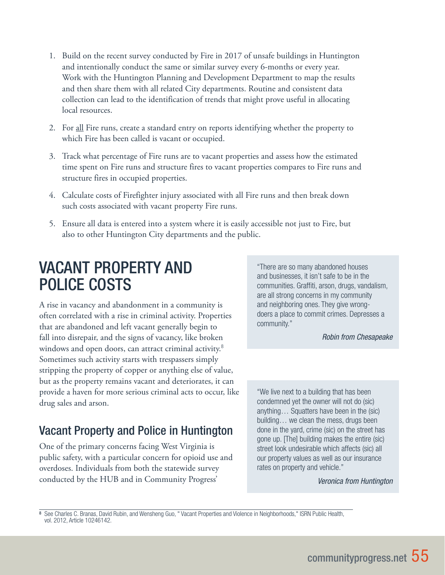- 1. Build on the recent survey conducted by Fire in 2017 of unsafe buildings in Huntington and intentionally conduct the same or similar survey every 6-months or every year. Work with the Huntington Planning and Development Department to map the results and then share them with all related City departments. Routine and consistent data collection can lead to the identification of trends that might prove useful in allocating local resources.
- 2. For <u>all</u> Fire runs, create a standard entry on reports identifying whether the property to which Fire has been called is vacant or occupied.
- 3. Track what percentage of Fire runs are to vacant properties and assess how the estimated time spent on Fire runs and structure fires to vacant properties compares to Fire runs and structure fires in occupied properties.
- 4. Calculate costs of Firefighter injury associated with all Fire runs and then break down such costs associated with vacant property Fire runs.
- 5. Ensure all data is entered into a system where it is easily accessible not just to Fire, but also to other Huntington City departments and the public.

# VACANT PROPERTY AND POLICE COSTS

A rise in vacancy and abandonment in a community is often correlated with a rise in criminal activity. Properties that are abandoned and left vacant generally begin to fall into disrepair, and the signs of vacancy, like broken windows and open doors, can attract criminal activity.<sup>8</sup> Sometimes such activity starts with trespassers simply stripping the property of copper or anything else of value, but as the property remains vacant and deteriorates, it can provide a haven for more serious criminal acts to occur, like drug sales and arson.

## Vacant Property and Police in Huntington

One of the primary concerns facing West Virginia is public safety, with a particular concern for opioid use and overdoses. Individuals from both the statewide survey conducted by the HUB and in Community Progress'

"There are so many abandoned houses and businesses, it isn't safe to be in the communities. Graffiti, arson, drugs, vandalism, are all strong concerns in my community and neighboring ones. They give wrongdoers a place to commit crimes. Depresses a community."

#### *Robin from Chesapeake*

"We live next to a building that has been condemned yet the owner will not do (sic) anything… Squatters have been in the (sic) building… we clean the mess, drugs been done in the yard, crime (sic) on the street has gone up. [The] building makes the entire (sic) street look undesirable which affects (sic) all our property values as well as our insurance rates on property and vehicle."

*Veronica from Huntington*

<sup>8</sup> See Charles C. Branas, David Rubin, and Wensheng Guo, " Vacant Properties and Violence in Neighborhoods," ISRN Public Health, vol. 2012, Article 10246142.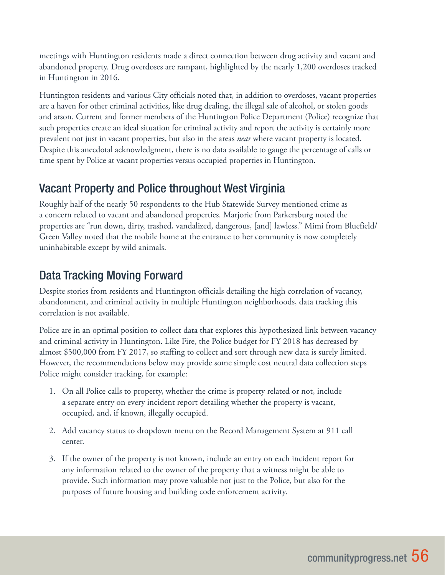meetings with Huntington residents made a direct connection between drug activity and vacant and abandoned property. Drug overdoses are rampant, highlighted by the nearly 1,200 overdoses tracked in Huntington in 2016.

Huntington residents and various City officials noted that, in addition to overdoses, vacant properties are a haven for other criminal activities, like drug dealing, the illegal sale of alcohol, or stolen goods and arson. Current and former members of the Huntington Police Department (Police) recognize that such properties create an ideal situation for criminal activity and report the activity is certainly more prevalent not just in vacant properties, but also in the areas *near* where vacant property is located. Despite this anecdotal acknowledgment, there is no data available to gauge the percentage of calls or time spent by Police at vacant properties versus occupied properties in Huntington.

## Vacant Property and Police throughout West Virginia

Roughly half of the nearly 50 respondents to the Hub Statewide Survey mentioned crime as a concern related to vacant and abandoned properties. Marjorie from Parkersburg noted the properties are "run down, dirty, trashed, vandalized, dangerous, [and] lawless." Mimi from Bluefield/ Green Valley noted that the mobile home at the entrance to her community is now completely uninhabitable except by wild animals.

# Data Tracking Moving Forward

Despite stories from residents and Huntington officials detailing the high correlation of vacancy, abandonment, and criminal activity in multiple Huntington neighborhoods, data tracking this correlation is not available.

Police are in an optimal position to collect data that explores this hypothesized link between vacancy and criminal activity in Huntington. Like Fire, the Police budget for FY 2018 has decreased by almost \$500,000 from FY 2017, so staffing to collect and sort through new data is surely limited. However, the recommendations below may provide some simple cost neutral data collection steps Police might consider tracking, for example:

- 1. On all Police calls to property, whether the crime is property related or not, include a separate entry on every incident report detailing whether the property is vacant, occupied, and, if known, illegally occupied.
- 2. Add vacancy status to dropdown menu on the Record Management System at 911 call center.
- 3. If the owner of the property is not known, include an entry on each incident report for any information related to the owner of the property that a witness might be able to provide. Such information may prove valuable not just to the Police, but also for the purposes of future housing and building code enforcement activity.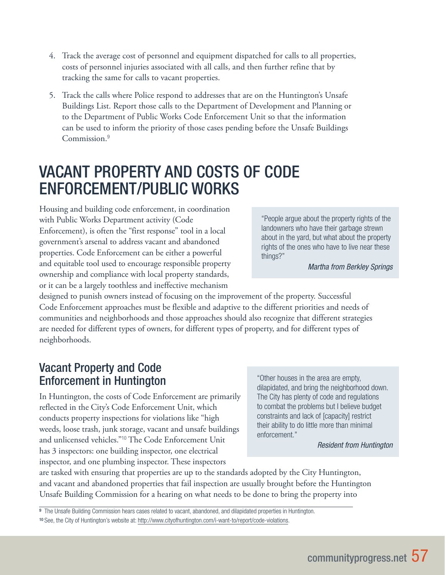- 4. Track the average cost of personnel and equipment dispatched for calls to all properties, costs of personnel injuries associated with all calls, and then further refine that by tracking the same for calls to vacant properties.
- 5. Track the calls where Police respond to addresses that are on the Huntington's Unsafe Buildings List. Report those calls to the Department of Development and Planning or to the Department of Public Works Code Enforcement Unit so that the information can be used to inform the priority of those cases pending before the Unsafe Buildings Commission.<sup>9</sup>

# VACANT PROPERTY AND COSTS OF CODE ENFORCEMENT/PUBLIC WORKS

Housing and building code enforcement, in coordination with Public Works Department activity (Code Enforcement), is often the "first response" tool in a local government's arsenal to address vacant and abandoned properties. Code Enforcement can be either a powerful and equitable tool used to encourage responsible property ownership and compliance with local property standards, or it can be a largely toothless and ineffective mechanism

"People argue about the property rights of the landowners who have their garbage strewn about in the yard, but what about the property rights of the ones who have to live near these things?"

*Martha from Berkley Springs*

designed to punish owners instead of focusing on the improvement of the property. Successful Code Enforcement approaches must be flexible and adaptive to the different priorities and needs of communities and neighborhoods and those approaches should also recognize that different strategies are needed for different types of owners, for different types of property, and for different types of neighborhoods.

### Vacant Property and Code Enforcement in Huntington

In Huntington, the costs of Code Enforcement are primarily reflected in the City's Code Enforcement Unit, which conducts property inspections for violations like "high weeds, loose trash, junk storage, vacant and unsafe buildings and unlicensed vehicles."<sup>10</sup> The Code Enforcement Unit has 3 inspectors: one building inspector, one electrical inspector, and one plumbing inspector. These inspectors

"Other houses in the area are empty, dilapidated, and bring the neighborhood down. The City has plenty of code and regulations to combat the problems but I believe budget constraints and lack of [capacity] restrict their ability to do little more than minimal enforcement."

*Resident from Huntington*

are tasked with ensuring that properties are up to the standards adopted by the City Huntington, and vacant and abandoned properties that fail inspection are usually brought before the Huntington Unsafe Building Commission for a hearing on what needs to be done to bring the property into

9 The Unsafe Building Commission hears cases related to vacant, abandoned, and dilapidated properties in Huntington.

<sup>10</sup> See, the City of Huntington's website at: http://www.cityofhuntington.com/i-want-to/report/code-violations.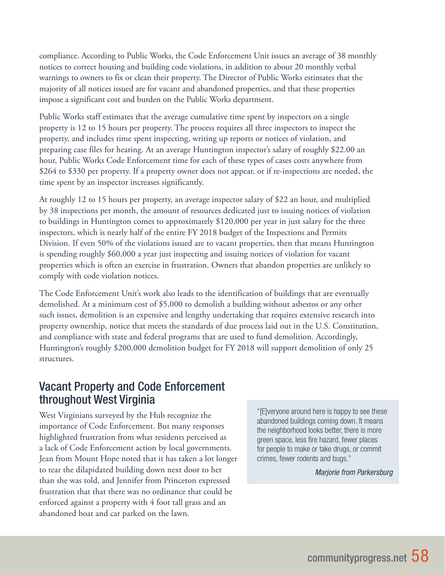compliance. According to Public Works, the Code Enforcement Unit issues an average of 38 monthly notices to correct housing and building code violations, in addition to about 20 monthly verbal warnings to owners to fix or clean their property. The Director of Public Works estimates that the majority of all notices issued are for vacant and abandoned properties, and that these properties impose a significant cost and burden on the Public Works department.

Public Works staff estimates that the average cumulative time spent by inspectors on a single property is 12 to 15 hours per property. The process requires all three inspectors to inspect the property, and includes time spent inspecting, writing up reports or notices of violation, and preparing case files for hearing. At an average Huntington inspector's salary of roughly \$22.00 an hour, Public Works Code Enforcement time for each of these types of cases costs anywhere from \$264 to \$330 per property. If a property owner does not appear, or if re-inspections are needed, the time spent by an inspector increases significantly.

At roughly 12 to 15 hours per property, an average inspector salary of \$22 an hour, and multiplied by 38 inspections per month, the amount of resources dedicated just to issuing notices of violation to buildings in Huntington comes to approximately \$120,000 per year in just salary for the three inspectors, which is nearly half of the entire FY 2018 budget of the Inspections and Permits Division. If even 50% of the violations issued are to vacant properties, then that means Huntington is spending roughly \$60,000 a year just inspecting and issuing notices of violation for vacant properties which is often an exercise in frustration. Owners that abandon properties are unlikely to comply with code violation notices.

The Code Enforcement Unit's work also leads to the identification of buildings that are eventually demolished. At a minimum cost of \$5,000 to demolish a building without asbestos or any other such issues, demolition is an expensive and lengthy undertaking that requires extensive research into property ownership, notice that meets the standards of due process laid out in the U.S. Constitution, and compliance with state and federal programs that are used to fund demolition. Accordingly, Huntington's roughly \$200,000 demolition budget for FY 2018 will support demolition of only 25 structures.

### Vacant Property and Code Enforcement throughout West Virginia

West Virginians surveyed by the Hub recognize the importance of Code Enforcement. But many responses highlighted frustration from what residents perceived as a lack of Code Enforcement action by local governments. Jean from Mount Hope noted that it has taken a lot longer to tear the dilapidated building down next door to her than she was told, and Jennifer from Princeton expressed frustration that that there was no ordinance that could be enforced against a property with 4 foot tall grass and an abandoned boat and car parked on the lawn.

"[E]veryone around here is happy to see these abandoned buildings coming down. It means the neighborhood looks better, there is more green space, less fire hazard, fewer places for people to make or take drugs, or commit crimes, fewer rodents and bugs."

*Marjorie from Parkersburg*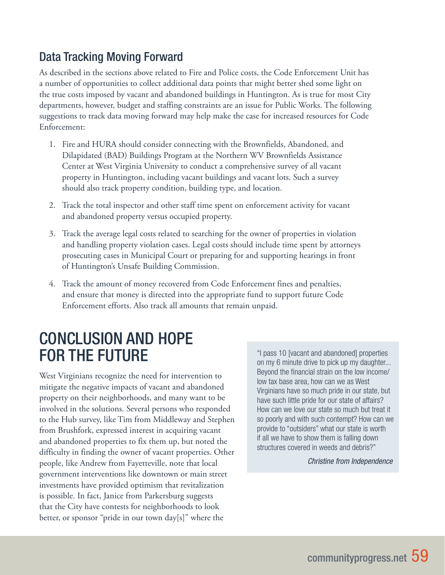## Data Tracking Moving Forward

As described in the sections above related to Fire and Police costs, the Code Enforcement Unit has a number of opportunities to collect additional data points that might better shed some light on the true costs imposed by vacant and abandoned buildings in Huntington. As is true for most City departments, however, budget and staffing constraints are an issue for Public Works. The following suggestions to track data moving forward may help make the case for increased resources for Code Enforcement:

- 1. Fire and HURA should consider connecting with the Brownfields, Abandoned, and Dilapidated (BAD) Buildings Program at the Northern WV Brownfields Assistance Center at West Virginia University to conduct a comprehensive survey of all vacant property in Huntington, including vacant buildings and vacant lots. Such a survey should also track property condition, building type, and location.
- 2. Track the total inspector and other staff time spent on enforcement activity for vacant and abandoned property versus occupied property.
- 3. Track the average legal costs related to searching for the owner of properties in violation and handling property violation cases. Legal costs should include time spent by attorneys prosecuting cases in Municipal Court or preparing for and supporting hearings in front of Huntington's Unsafe Building Commission.
- 4. Track the amount of money recovered from Code Enforcement fines and penalties, and ensure that money is directed into the appropriate fund to support future Code Enforcement efforts. Also track all amounts that remain unpaid.

# CONCLUSION AND HOPE FOR THE FUTURE

West Virginians recognize the need for intervention to mitigate the negative impacts of vacant and abandoned property on their neighborhoods, and many want to be involved in the solutions. Several persons who responded to the Hub survey, like Tim from Middleway and Stephen from Brushfork, expressed interest in acquiring vacant and abandoned properties to fix them up, but noted the difficulty in finding the owner of vacant properties. Other people, like Andrew from Fayetteville, note that local government interventions like downtown or main street investments have provided optimism that revitalization is possible. In fact, Janice from Parkersburg suggests that the City have contests for neighborhoods to look better, or sponsor "pride in our town day[s]" where the

"I pass 10 [vacant and abandoned] properties on my 6 minute drive to pick up my daughter... Beyond the financial strain on the low income/ low tax base area, how can we as West Virginians have so much pride in our state, but have such little pride for our state of affairs? How can we love our state so much but treat it so poorly and with such contempt? How can we provide to "outsiders" what our state is worth if all we have to show them is falling down structures covered in weeds and debris?"

*Christine from Independence*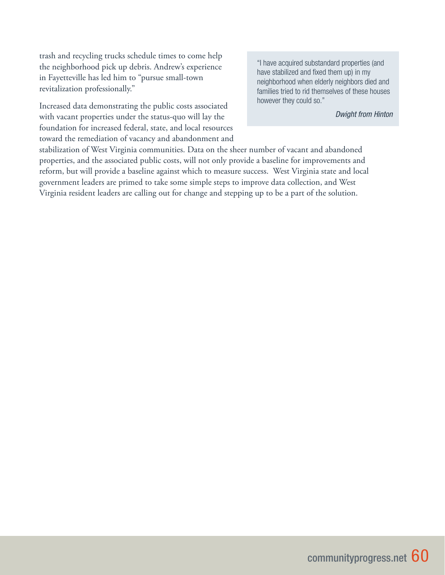trash and recycling trucks schedule times to come help the neighborhood pick up debris. Andrew's experience in Fayetteville has led him to "pursue small-town revitalization professionally."

Increased data demonstrating the public costs associated with vacant properties under the status-quo will lay the foundation for increased federal, state, and local resources toward the remediation of vacancy and abandonment and "I have acquired substandard properties (and have stabilized and fixed them up) in my neighborhood when elderly neighbors died and families tried to rid themselves of these houses however they could so."

*Dwight from Hinton*

stabilization of West Virginia communities. Data on the sheer number of vacant and abandoned properties, and the associated public costs, will not only provide a baseline for improvements and reform, but will provide a baseline against which to measure success. West Virginia state and local government leaders are primed to take some simple steps to improve data collection, and West Virginia resident leaders are calling out for change and stepping up to be a part of the solution.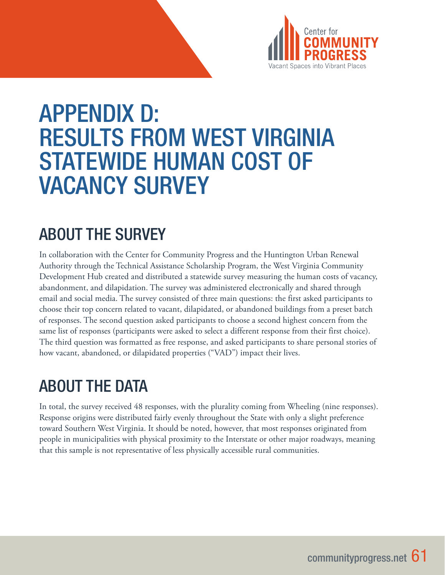

# APPENDIX D: RESULTS FROM WEST VIRGINIA STATEWIDE HUMAN COST OF VACANCY SURVEY

# ABOUT THE SURVEY

In collaboration with the Center for Community Progress and the Huntington Urban Renewal Authority through the Technical Assistance Scholarship Program, the West Virginia Community Development Hub created and distributed a statewide survey measuring the human costs of vacancy, abandonment, and dilapidation. The survey was administered electronically and shared through email and social media. The survey consisted of three main questions: the first asked participants to choose their top concern related to vacant, dilapidated, or abandoned buildings from a preset batch of responses. The second question asked participants to choose a second highest concern from the same list of responses (participants were asked to select a different response from their first choice). The third question was formatted as free response, and asked participants to share personal stories of how vacant, abandoned, or dilapidated properties ("VAD") impact their lives.

# ABOUT THE DATA

In total, the survey received 48 responses, with the plurality coming from Wheeling (nine responses). Response origins were distributed fairly evenly throughout the State with only a slight preference toward Southern West Virginia. It should be noted, however, that most responses originated from people in municipalities with physical proximity to the Interstate or other major roadways, meaning that this sample is not representative of less physically accessible rural communities.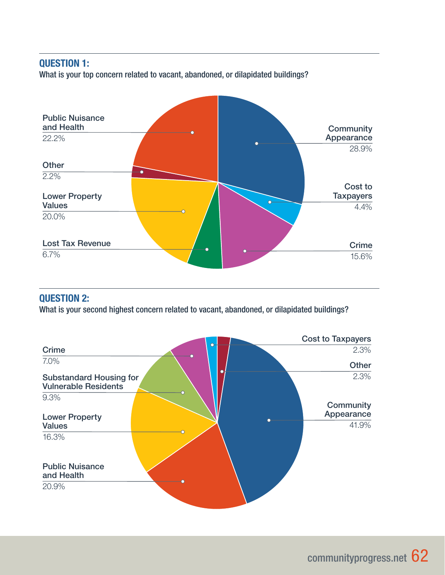### QUESTION 1:

What is your top concern related to vacant, abandoned, or dilapidated buildings?



### QUESTION 2:

What is your second highest concern related to vacant, abandoned, or dilapidated buildings?

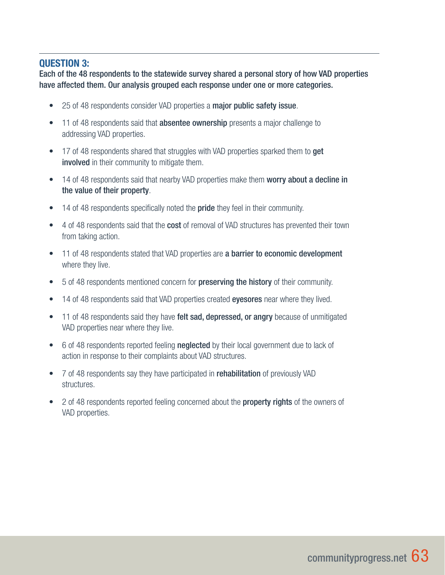### QUESTION 3:

Each of the 48 respondents to the statewide survey shared a personal story of how VAD properties have affected them. Our analysis grouped each response under one or more categories.

- 25 of 48 respondents consider VAD properties a major public safety issue.
- 11 of 48 respondents said that **absentee ownership** presents a major challenge to addressing VAD properties.
- 17 of 48 respondents shared that struggles with VAD properties sparked them to **get** involved in their community to mitigate them.
- 14 of 48 respondents said that nearby VAD properties make them worry about a decline in the value of their property.
- 14 of 48 respondents specifically noted the **pride** they feel in their community.
- 4 of 48 respondents said that the **cost** of removal of VAD structures has prevented their town from taking action.
- 11 of 48 respondents stated that VAD properties are a barrier to economic development where they live.
- 5 of 48 respondents mentioned concern for **preserving the history** of their community.
- 14 of 48 respondents said that VAD properties created eyesores near where they lived.
- 11 of 48 respondents said they have felt sad, depressed, or angry because of unmitigated VAD properties near where they live.
- 6 of 48 respondents reported feeling **neglected** by their local government due to lack of action in response to their complaints about VAD structures.
- 7 of 48 respondents say they have participated in rehabilitation of previously VAD structures.
- 2 of 48 respondents reported feeling concerned about the **property rights** of the owners of VAD properties.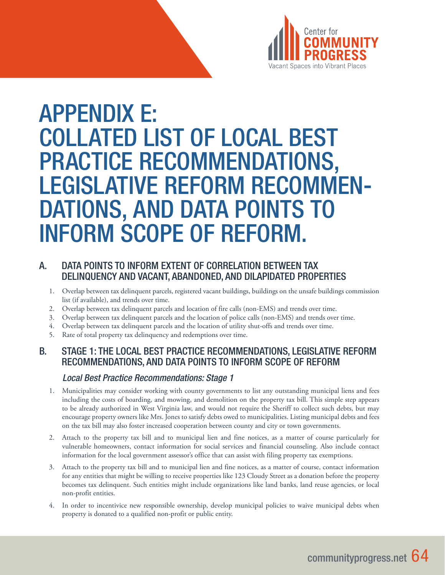

# APPENDIX E: COLLATED LIST OF LOCAL BEST PRACTICE RECOMMENDATIONS, LEGISLATIVE REFORM RECOMMEN- DATIONS, AND DATA POINTS TO INFORM SCOPE OF REFORM.

### A. DATA POINTS TO INFORM EXTENT OF CORRELATION BETWEEN TAX DELINQUENCY AND VACANT, ABANDONED, AND DILAPIDATED PROPERTIES

- 1. Overlap between tax delinquent parcels, registered vacant buildings, buildings on the unsafe buildings commission list (if available), and trends over time.
- 2. Overlap between tax delinquent parcels and location of fire calls (non-EMS) and trends over time.
- 3. Overlap between tax delinquent parcels and the location of police calls (non-EMS) and trends over time.
- 4. Overlap between tax delinquent parcels and the location of utility shut-offs and trends over time.
- 5. Rate of total property tax delinquency and redemptions over time.

### B. STAGE 1: THE LOCAL BEST PRACTICE RECOMMENDATIONS, LEGISLATIVE REFORM RECOMMENDATIONS, AND DATA POINTS TO INFORM SCOPE OF REFORM

### *Local Best Practice Recommendations: Stage 1*

- 1. Municipalities may consider working with county governments to list any outstanding municipal liens and fees including the costs of boarding, and mowing, and demolition on the property tax bill. This simple step appears to be already authorized in West Virginia law, and would not require the Sheriff to collect such debts, but may encourage property owners like Mrs. Jones to satisfy debts owed to municipalities. Listing municipal debts and fees on the tax bill may also foster increased cooperation between county and city or town governments.
- 2. Attach to the property tax bill and to municipal lien and fine notices, as a matter of course particularly for vulnerable homeowners, contact information for social services and financial counseling. Also include contact information for the local government assessor's office that can assist with filing property tax exemptions.
- 3. Attach to the property tax bill and to municipal lien and fine notices, as a matter of course, contact information for any entities that might be willing to receive properties like 123 Cloudy Street as a donation before the property becomes tax delinquent. Such entities might include organizations like land banks, land reuse agencies, or local non-profit entities.
- 4. In order to incentivice new responsible ownership, develop municipal policies to waive municipal debts when property is donated to a qualified non-profit or public entity.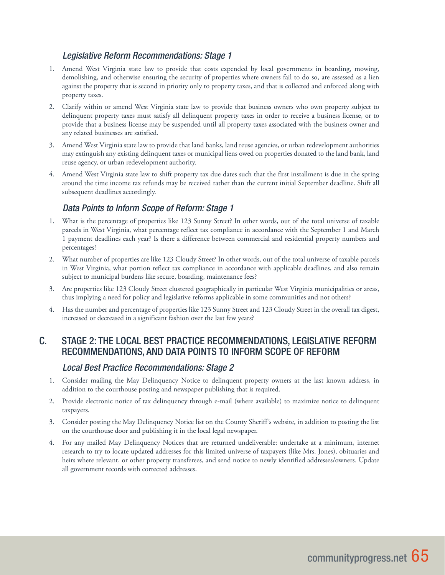### *Legislative Reform Recommendations: Stage 1*

- 1. Amend West Virginia state law to provide that costs expended by local governments in boarding, mowing, demolishing, and otherwise ensuring the security of properties where owners fail to do so, are assessed as a lien against the property that is second in priority only to property taxes, and that is collected and enforced along with property taxes.
- 2. Clarify within or amend West Virginia state law to provide that business owners who own property subject to delinquent property taxes must satisfy all delinquent property taxes in order to receive a business license, or to provide that a business license may be suspended until all property taxes associated with the business owner and any related businesses are satisfied.
- 3. Amend West Virginia state law to provide that land banks, land reuse agencies, or urban redevelopment authorities may extinguish any existing delinquent taxes or municipal liens owed on properties donated to the land bank, land reuse agency, or urban redevelopment authority.
- 4. Amend West Virginia state law to shift property tax due dates such that the first installment is due in the spring around the time income tax refunds may be received rather than the current initial September deadline. Shift all subsequent deadlines accordingly.

### *Data Points to Inform Scope of Reform: Stage 1*

- 1. What is the percentage of properties like 123 Sunny Street? In other words, out of the total universe of taxable parcels in West Virginia, what percentage reflect tax compliance in accordance with the September 1 and March 1 payment deadlines each year? Is there a difference between commercial and residential property numbers and percentages?
- 2. What number of properties are like 123 Cloudy Street? In other words, out of the total universe of taxable parcels in West Virginia, what portion reflect tax compliance in accordance with applicable deadlines, and also remain subject to municipal burdens like secure, boarding, maintenance fees?
- 3. Are properties like 123 Cloudy Street clustered geographically in particular West Virginia municipalities or areas, thus implying a need for policy and legislative reforms applicable in some communities and not others?
- 4. Has the number and percentage of properties like 123 Sunny Street and 123 Cloudy Street in the overall tax digest, increased or decreased in a significant fashion over the last few years?

### C. STAGE 2: THE LOCAL BEST PRACTICE RECOMMENDATIONS, LEGISLATIVE REFORM RECOMMENDATIONS, AND DATA POINTS TO INFORM SCOPE OF REFORM

### *Local Best Practice Recommendations: Stage 2*

- 1. Consider mailing the May Delinquency Notice to delinquent property owners at the last known address, in addition to the courthouse posting and newspaper publishing that is required.
- 2. Provide electronic notice of tax delinquency through e-mail (where available) to maximize notice to delinquent taxpayers.
- 3. Consider posting the May Delinquency Notice list on the County Sheriff's website, in addition to posting the list on the courthouse door and publishing it in the local legal newspaper.
- 4. For any mailed May Delinquency Notices that are returned undeliverable: undertake at a minimum, internet research to try to locate updated addresses for this limited universe of taxpayers (like Mrs. Jones), obituaries and heirs where relevant, or other property transferees, and send notice to newly identified addresses/owners. Update all government records with corrected addresses.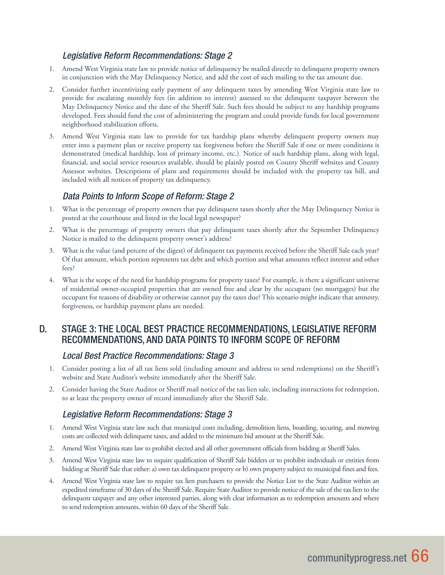### *Legislative Reform Recommendations: Stage 2*

- 1. Amend West Virginia state law to provide notice of delinquency be mailed directly to delinquent property owners in conjunction with the May Delinquency Notice, and add the cost of such mailing to the tax amount due.
- 2. Consider further incentivizing early payment of any delinquent taxes by amending West Virginia state law to provide for escalating monthly fees (in addition to interest) assessed to the delinquent taxpayer between the May Delinquency Notice and the date of the Sheriff Sale. Such fees should be subject to any hardship programs developed. Fees should fund the cost of administering the program and could provide funds for local government neighborhood stabilization efforts.
- 3. Amend West Virginia state law to provide for tax hardship plans whereby delinquent property owners may enter into a payment plan or receive property tax forgiveness before the Sheriff Sale if one or more conditions is demonstrated (medical hardship, loss of primary income, etc.). Notice of such hardship plans, along with legal, financial, and social service resources available, should be plainly posted on County Sheriff websites and County Assessor websites. Descriptions of plans and requirements should be included with the property tax bill, and included with all notices of property tax delinquency.

### *Data Points to Inform Scope of Reform: Stage 2*

- 1. What is the percentage of property owners that pay delinquent taxes shortly after the May Delinquency Notice is posted at the courthouse and listed in the local legal newspaper?
- 2. What is the percentage of property owners that pay delinquent taxes shortly after the September Delinquency Notice is mailed to the delinquent property owner's address?
- 3. What is the value (and percent of the digest) of delinquent tax payments received before the Sheriff Sale each year? Of that amount, which portion represents tax debt and which portion and what amounts reflect interest and other fees?
- 4. What is the scope of the need for hardship programs for property taxes? For example, is there a significant universe of residential owner-occupied properties that are owned free and clear by the occupant (no mortgages) but the occupant for reasons of disability or otherwise cannot pay the taxes due? This scenario might indicate that amnesty, forgiveness, or hardship payment plans are needed.

### D. STAGE 3: THE LOCAL BEST PRACTICE RECOMMENDATIONS, LEGISLATIVE REFORM RECOMMENDATIONS, AND DATA POINTS TO INFORM SCOPE OF REFORM

### *Local Best Practice Recommendations: Stage 3*

- 1. Consider posting a list of all tax liens sold (including amount and address to send redemptions) on the Sheriff's website and State Auditor's website immediately after the Sheriff Sale.
- 2. Consider having the State Auditor or Sheriff mail notice of the tax lien sale, including instructions for redemption, to at least the property owner of record immediately after the Sheriff Sale.

### *Legislative Reform Recommendations: Stage 3*

- 1. Amend West Virginia state law such that municipal costs including, demolition liens, boarding, securing, and mowing costs are collected with delinquent taxes, and added to the minimum bid amount at the Sheriff Sale.
- 2. Amend West Virginia state law to prohibit elected and all other government officials from bidding at Sheriff Sales.
- 3. Amend West Virginia state law to require qualification of Sheriff Sale bidders or to prohibit individuals or entities from bidding at Sheriff Sale that either: a) own tax delinquent property or b) own property subject to municipal fines and fees.
- 4. Amend West Virginia state law to require tax lien purchasers to provide the Notice List to the State Auditor within an expedited timeframe of 30 days of the Sheriff Sale. Require State Auditor to provide notice of the sale of the tax lien to the delinquent taxpayer and any other interested parties, along with clear information as to redemption amounts and where to send redemption amounts, within 60 days of the Sheriff Sale.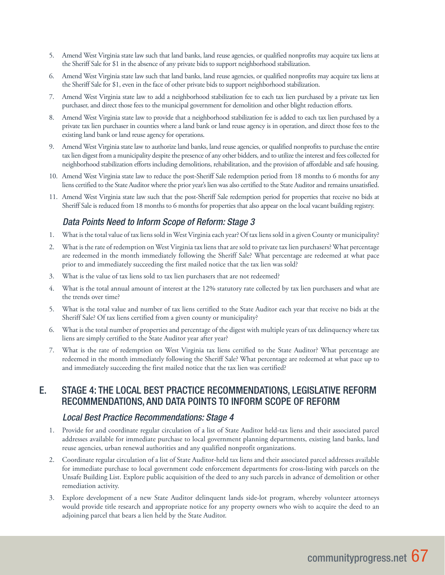- 5. Amend West Virginia state law such that land banks, land reuse agencies, or qualified nonprofits may acquire tax liens at the Sheriff Sale for \$1 in the absence of any private bids to support neighborhood stabilization.
- 6. Amend West Virginia state law such that land banks, land reuse agencies, or qualified nonprofits may acquire tax liens at the Sheriff Sale for \$1, even in the face of other private bids to support neighborhood stabilization.
- 7. Amend West Virginia state law to add a neighborhood stabilization fee to each tax lien purchased by a private tax lien purchaser, and direct those fees to the municipal government for demolition and other blight reduction efforts.
- 8. Amend West Virginia state law to provide that a neighborhood stabilization fee is added to each tax lien purchased by a private tax lien purchaser in counties where a land bank or land reuse agency is in operation, and direct those fees to the existing land bank or land reuse agency for operations.
- 9. Amend West Virginia state law to authorize land banks, land reuse agencies, or qualified nonprofits to purchase the entire tax lien digest from a municipality despite the presence of any other bidders, and to utilize the interest and fees collected for neighborhood stabilization efforts including demolitions, rehabilitation, and the provision of affordable and safe housing.
- 10. Amend West Virginia state law to reduce the post-Sheriff Sale redemption period from 18 months to 6 months for any liens certified to the State Auditor where the prior year's lien was also certified to the State Auditor and remains unsatisfied.
- 11. Amend West Virginia state law such that the post-Sheriff Sale redemption period for properties that receive no bids at Sheriff Sale is reduced from 18 months to 6 months for properties that also appear on the local vacant building registry.

### *Data Points Need to Inform Scope of Reform: Stage 3*

- 1. What is the total value of tax liens sold in West Virginia each year? Of tax liens sold in a given County or municipality?
- 2. What is the rate of redemption on West Virginia tax liens that are sold to private tax lien purchasers? What percentage are redeemed in the month immediately following the Sheriff Sale? What percentage are redeemed at what pace prior to and immediately succeeding the first mailed notice that the tax lien was sold?
- 3. What is the value of tax liens sold to tax lien purchasers that are not redeemed?
- 4. What is the total annual amount of interest at the 12% statutory rate collected by tax lien purchasers and what are the trends over time?
- 5. What is the total value and number of tax liens certified to the State Auditor each year that receive no bids at the Sheriff Sale? Of tax liens certified from a given county or municipality?
- 6. What is the total number of properties and percentage of the digest with multiple years of tax delinquency where tax liens are simply certified to the State Auditor year after year?
- 7. What is the rate of redemption on West Virginia tax liens certified to the State Auditor? What percentage are redeemed in the month immediately following the Sheriff Sale? What percentage are redeemed at what pace up to and immediately succeeding the first mailed notice that the tax lien was certified?

### E. STAGE 4: THE LOCAL BEST PRACTICE RECOMMENDATIONS, LEGISLATIVE REFORM RECOMMENDATIONS, AND DATA POINTS TO INFORM SCOPE OF REFORM

### *Local Best Practice Recommendations: Stage 4*

- 1. Provide for and coordinate regular circulation of a list of State Auditor held-tax liens and their associated parcel addresses available for immediate purchase to local government planning departments, existing land banks, land reuse agencies, urban renewal authorities and any qualified nonprofit organizations.
- 2. Coordinate regular circulation of a list of State Auditor-held tax liens and their associated parcel addresses available for immediate purchase to local government code enforcement departments for cross-listing with parcels on the Unsafe Building List. Explore public acquisition of the deed to any such parcels in advance of demolition or other remediation activity.
- 3. Explore development of a new State Auditor delinquent lands side-lot program, whereby volunteer attorneys would provide title research and appropriate notice for any property owners who wish to acquire the deed to an adjoining parcel that bears a lien held by the State Auditor.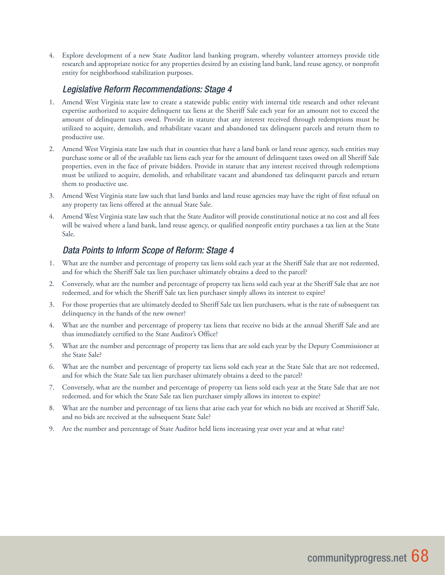4. Explore development of a new State Auditor land banking program, whereby volunteer attorneys provide title research and appropriate notice for any properties desired by an existing land bank, land reuse agency, or nonprofit entity for neighborhood stabilization purposes.

### *Legislative Reform Recommendations: Stage 4*

- 1. Amend West Virginia state law to create a statewide public entity with internal title research and other relevant expertise authorized to acquire delinquent tax liens at the Sheriff Sale each year for an amount not to exceed the amount of delinquent taxes owed. Provide in statute that any interest received through redemptions must be utilized to acquire, demolish, and rehabilitate vacant and abandoned tax delinquent parcels and return them to productive use.
- 2. Amend West Virginia state law such that in counties that have a land bank or land reuse agency, such entities may purchase some or all of the available tax liens each year for the amount of delinquent taxes owed on all Sheriff Sale properties, even in the face of private bidders. Provide in statute that any interest received through redemptions must be utilized to acquire, demolish, and rehabilitate vacant and abandoned tax delinquent parcels and return them to productive use.
- 3. Amend West Virginia state law such that land banks and land reuse agencies may have the right of first refusal on any property tax liens offered at the annual State Sale.
- 4. Amend West Virginia state law such that the State Auditor will provide constitutional notice at no cost and all fees will be waived where a land bank, land reuse agency, or qualified nonprofit entity purchases a tax lien at the State Sale.

### *Data Points to Inform Scope of Reform: Stage 4*

- 1. What are the number and percentage of property tax liens sold each year at the Sheriff Sale that are not redeemed, and for which the Sheriff Sale tax lien purchaser ultimately obtains a deed to the parcel?
- 2. Conversely, what are the number and percentage of property tax liens sold each year at the Sheriff Sale that are not redeemed, and for which the Sheriff Sale tax lien purchaser simply allows its interest to expire?
- 3. For those properties that are ultimately deeded to Sheriff Sale tax lien purchasers, what is the rate of subsequent tax delinquency in the hands of the new owner?
- 4. What are the number and percentage of property tax liens that receive no bids at the annual Sheriff Sale and are thus immediately certified to the State Auditor's Office?
- 5. What are the number and percentage of property tax liens that are sold each year by the Deputy Commissioner at the State Sale?
- 6. What are the number and percentage of property tax liens sold each year at the State Sale that are not redeemed, and for which the State Sale tax lien purchaser ultimately obtains a deed to the parcel?
- 7. Conversely, what are the number and percentage of property tax liens sold each year at the State Sale that are not redeemed, and for which the State Sale tax lien purchaser simply allows its interest to expire?
- 8. What are the number and percentage of tax liens that arise each year for which no bids are received at Sheriff Sale, and no bids are received at the subsequent State Sale?
- 9. Are the number and percentage of State Auditor held liens increasing year over year and at what rate?